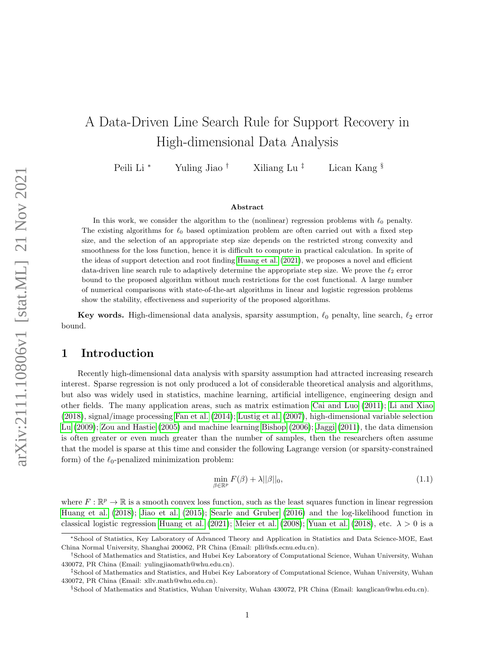# A Data-Driven Line Search Rule for Support Recovery in High-dimensional Data Analysis

Peili Li <sup>∗</sup> Yuling Jiao <sup>†</sup> Xiliang Lu <sup>‡</sup> Lican Kang §

#### Abstract

In this work, we consider the algorithm to the (nonlinear) regression problems with  $\ell_0$  penalty. The existing algorithms for  $\ell_0$  based optimization problem are often carried out with a fixed step size, and the selection of an appropriate step size depends on the restricted strong convexity and smoothness for the loss function, hence it is difficult to compute in practical calculation. In sprite of the ideas of support detection and root finding [Huang et al.](#page-20-0) [\(2021\)](#page-20-0), we proposes a novel and efficient data-driven line search rule to adaptively determine the appropriate step size. We prove the  $\ell_2$  error bound to the proposed algorithm without much restrictions for the cost functional. A large number of numerical comparisons with state-of-the-art algorithms in linear and logistic regression problems show the stability, effectiveness and superiority of the proposed algorithms.

Key words. High-dimensional data analysis, sparsity assumption,  $\ell_0$  penalty, line search,  $\ell_2$  error bound.

# 1 Introduction

Recently high-dimensional data analysis with sparsity assumption had attracted increasing research interest. Sparse regression is not only produced a lot of considerable theoretical analysis and algorithms, but also was widely used in statistics, machine learning, artificial intelligence, engineering design and other fields. The many application areas, such as matrix estimation [Cai and Luo](#page-20-1) [\(2011\)](#page-20-1); [Li and Xiao](#page-20-2) [\(2018\)](#page-20-2), signal/image processing [Fan et al.](#page-20-3) [\(2014\)](#page-20-3); [Lustig et al.](#page-20-4) [\(2007\)](#page-20-4), high-dimensional variable selection [Lu](#page-20-5) [\(2009\)](#page-20-5); [Zou and Hastie](#page-22-0) [\(2005\)](#page-22-0) and machine learning [Bishop](#page-19-0) [\(2006\)](#page-19-0); [Jaggi](#page-20-6) [\(2011\)](#page-20-6), the data dimension is often greater or even much greater than the number of samples, then the researchers often assume that the model is sparse at this time and consider the following Lagrange version (or sparsity-constrained form) of the  $\ell_0$ -penalized minimization problem:

<span id="page-0-0"></span>
$$
\min_{\beta \in \mathbb{R}^p} F(\beta) + \lambda ||\beta||_0,\tag{1.1}
$$

where  $F : \mathbb{R}^p \to \mathbb{R}$  is a smooth convex loss function, such as the least squares function in linear regression [Huang et al.](#page-20-7) [\(2018\)](#page-20-7); [Jiao et al.](#page-20-8) [\(2015\)](#page-20-8); [Searle and Gruber](#page-21-0) [\(2016\)](#page-21-0) and the log-likelihood function in classical logistic regression [Huang et al.](#page-20-0) [\(2021\)](#page-20-0); [Meier et al.](#page-21-1) [\(2008\)](#page-21-1); [Yuan et al.](#page-21-2) [\(2018\)](#page-21-2), etc.  $\lambda > 0$  is a

<sup>∗</sup>School of Statistics, Key Laboratory of Advanced Theory and Application in Statistics and Data Science-MOE, East China Normal University, Shanghai 200062, PR China (Email: plli@sfs.ecnu.edu.cn).

<sup>†</sup>School of Mathematics and Statistics, and Hubei Key Laboratory of Computational Science, Wuhan University, Wuhan 430072, PR China (Email: yulingjiaomath@whu.edu.cn).

<sup>‡</sup>School of Mathematics and Statistics, and Hubei Key Laboratory of Computational Science, Wuhan University, Wuhan 430072, PR China (Email: xllv.math@whu.edu.cn).

<sup>§</sup>School of Mathematics and Statistics, Wuhan University, Wuhan 430072, PR China (Email: kanglican@whu.edu.cn).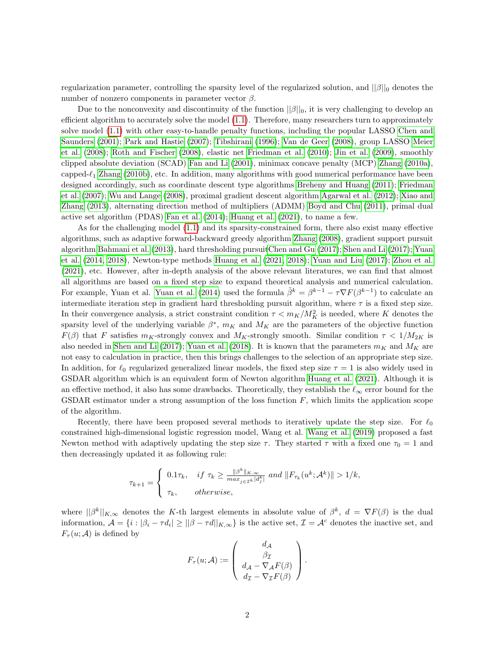regularization parameter, controlling the sparsity level of the regularized solution, and  $||\beta||_0$  denotes the number of nonzero components in parameter vector  $\beta$ .

Due to the nonconvexity and discontinuity of the function  $||\beta||_0$ , it is very challenging to develop an efficient algorithm to accurately solve the model [\(1.1\)](#page-0-0). Therefore, many researchers turn to approximately solve model [\(1.1\)](#page-0-0) with other easy-to-handle penalty functions, including the popular LASSO [Chen and](#page-20-9) [Saunders](#page-20-9) [\(2001\)](#page-20-9); [Park and Hastie](#page-21-3) [\(2007\)](#page-21-3); [Tibshirani](#page-21-4) [\(1996\)](#page-21-4); [Van de Geer](#page-21-5) [\(2008\)](#page-21-5), group LASSO [Meier](#page-21-1) [et al.](#page-21-1) [\(2008\)](#page-21-1); [Roth and Fischer](#page-21-6) [\(2008\)](#page-21-6), elastic net [Friedman et al.](#page-20-10) [\(2010\)](#page-20-10); [Jin et al.](#page-20-11) [\(2009\)](#page-20-11), smoothly clipped absolute deviation (SCAD) [Fan and Li](#page-20-12) [\(2001\)](#page-20-12), minimax concave penalty (MCP) [Zhang](#page-21-7) [\(2010a\)](#page-21-7), capped- $\ell_1$  [Zhang](#page-21-8) [\(2010b\)](#page-21-8), etc. In addition, many algorithms with good numerical performance have been designed accordingly, such as coordinate descent type algorithms [Breheny and Huang](#page-19-1) [\(2011\)](#page-19-1); [Friedman](#page-20-13) [et al.](#page-20-13) [\(2007\)](#page-20-13); [Wu and Lange](#page-21-9) [\(2008\)](#page-21-9), proximal gradient descent algorithm [Agarwal et al.](#page-19-2) [\(2012\)](#page-19-2); [Xiao and](#page-21-10) [Zhang](#page-21-10) [\(2013\)](#page-21-10), alternating direction method of multipliers (ADMM) [Boyd and Chu](#page-19-3) [\(2011\)](#page-19-3), primal dual active set algorithm (PDAS) [Fan et al.](#page-20-3) [\(2014\)](#page-20-3); [Huang et al.](#page-20-14) [\(2021\)](#page-20-14), to name a few.

As for the challenging model [\(1.1\)](#page-0-0) and its sparsity-constrained form, there also exist many effective algorithms, such as adaptive forward-backward greedy algorithm [Zhang](#page-21-11) [\(2008\)](#page-21-11), gradient support pursuit algorithm [Bahmani et al.](#page-19-4) [\(2013\)](#page-19-4), hard thresholding pursui[tChen and Gu](#page-20-15) [\(2017\)](#page-20-15); [Shen and Li](#page-21-12) [\(2017\)](#page-21-12); [Yuan](#page-21-13) [et al.](#page-21-13) [\(2014,](#page-21-13) [2018\)](#page-21-2), Newton-type methods [Huang et al.](#page-20-0) [\(2021,](#page-20-0) [2018\)](#page-20-7); [Yuan and Liu](#page-21-14) [\(2017\)](#page-21-14); [Zhou et al.](#page-22-1) [\(2021\)](#page-22-1), etc. However, after in-depth analysis of the above relevant literatures, we can find that almost all algorithms are based on a fixed step size to expand theoretical analysis and numerical calculation. For example, [Yuan et al.](#page-21-13) Yuan et al. [\(2014\)](#page-21-13) used the formula  $\tilde{\beta}^k = \beta^{k-1} - \tau \nabla F(\beta^{k-1})$  to calculate an intermediate iteration step in gradient hard thresholding pursuit algorithm, where  $\tau$  is a fixed step size. In their convergence analysis, a strict constraint condition  $\tau < m_K/M_K^2$  is needed, where K denotes the sparsity level of the underlying variable  $\beta^*$ ,  $m_K$  and  $M_K$  are the parameters of the objective function  $F(\beta)$  that F satisfies  $m_K$ -strongly convex and  $M_K$ -strongly smooth. Similar condition  $\tau < 1/M_{2K}$  is also needed in [Shen and Li](#page-21-12) [\(2017\)](#page-21-12); [Yuan et al.](#page-21-2) [\(2018\)](#page-21-2). It is known that the parameters  $m<sub>K</sub>$  and  $M<sub>K</sub>$  are not easy to calculation in practice, then this brings challenges to the selection of an appropriate step size. In addition, for  $\ell_0$  regularized generalized linear models, the fixed step size  $\tau = 1$  is also widely used in GSDAR algorithm which is an equivalent form of Newton algorithm [Huang et al.](#page-20-0) [\(2021\)](#page-20-0). Although it is an effective method, it also has some drawbacks. Theoretically, they establish the  $\ell_{\infty}$  error bound for the GSDAR estimator under a strong assumption of the loss function  $F$ , which limits the application scope of the algorithm.

Recently, there have been proposed several methods to iteratively update the step size. For  $\ell_0$ constrained high-dimensional logistic regression model, Wang et al. [Wang et al.](#page-21-15) [\(2019\)](#page-21-15) proposed a fast Newton method with adaptively updating the step size  $\tau$ . They started  $\tau$  with a fixed one  $\tau_0 = 1$  and then decreasingly updated it as following rule:

$$
\tau_{k+1} = \begin{cases} 0.1\tau_k, & if \ \tau_k \ge \frac{\|\beta^k\|_{K,\infty}}{\max_{j\in\mathcal{I}^k} |d_j^k|} \ and & \|F_{\tau_k}(u^k;\mathcal{A}^k)\| > 1/k, \\ \tau_k, & otherwise, \end{cases}
$$

where  $\|\beta^k\|_{K,\infty}$  denotes the K-th largest elements in absolute value of  $\beta^k$ ,  $d = \nabla F(\beta)$  is the dual information,  $\mathcal{A} = \{i : |\beta_i - \tau d_i| \geq ||\beta - \tau d||_{K,\infty}\}\$ is the active set,  $\mathcal{I} = \mathcal{A}^c$  denotes the inactive set, and  $F_{\tau}(u; \mathcal{A})$  is defined by

$$
F_{\tau}(u; \mathcal{A}) := \begin{pmatrix} d_{\mathcal{A}} \\ \beta_{\mathcal{I}} \\ d_{\mathcal{A}} - \nabla_{\mathcal{A}} F(\beta) \\ d_{\mathcal{I}} - \nabla_{\mathcal{I}} F(\beta) \end{pmatrix}.
$$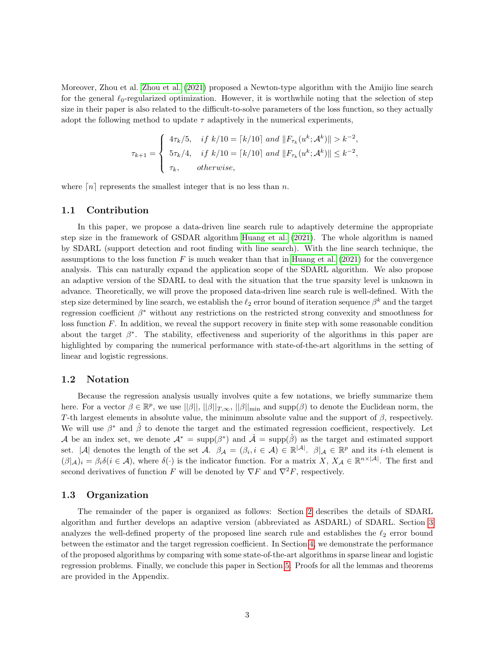Moreover, Zhou et al. [Zhou et al.](#page-22-1) [\(2021\)](#page-22-1) proposed a Newton-type algorithm with the Amijio line search for the general  $\ell_0$ -regularized optimization. However, it is worthwhile noting that the selection of step size in their paper is also related to the difficult-to-solve parameters of the loss function, so they actually adopt the following method to update  $\tau$  adaptively in the numerical experiments,

$$
\tau_{k+1} = \begin{cases}\n4\tau_k/5, & if \ k/10 = \lceil k/10 \rceil \text{ and } \lVert F_{\tau_k}(u^k; \mathcal{A}^k) \rVert > k^{-2}, \\
5\tau_k/4, & if \ k/10 = \lceil k/10 \rceil \text{ and } \lVert F_{\tau_k}(u^k; \mathcal{A}^k) \rVert \le k^{-2}, \\
\tau_k, & otherwise,\n\end{cases}
$$

where  $[n]$  represents the smallest integer that is no less than n.

#### 1.1 Contribution

In this paper, we propose a data-driven line search rule to adaptively determine the appropriate step size in the framework of GSDAR algorithm [Huang et al.](#page-20-0) [\(2021\)](#page-20-0). The whole algorithm is named by SDARL (support detection and root finding with line search). With the line search technique, the assumptions to the loss function  $F$  is much weaker than that in [Huang et al.](#page-20-0) [\(2021\)](#page-20-0) for the convergence analysis. This can naturally expand the application scope of the SDARL algorithm. We also propose an adaptive version of the SDARL to deal with the situation that the true sparsity level is unknown in advance. Theoretically, we will prove the proposed data-driven line search rule is well-defined. With the step size determined by line search, we establish the  $\ell_2$  error bound of iteration sequence  $\beta^k$  and the target regression coefficient  $\beta^*$  without any restrictions on the restricted strong convexity and smoothness for loss function F. In addition, we reveal the support recovery in finite step with some reasonable condition about the target  $\beta^*$ . The stability, effectiveness and superiority of the algorithms in this paper are highlighted by comparing the numerical performance with state-of-the-art algorithms in the setting of linear and logistic regressions.

### 1.2 Notation

Because the regression analysis usually involves quite a few notations, we briefly summarize them here. For a vector  $\beta \in \mathbb{R}^p$ , we use  $||\beta||_1$ ,  $||\beta||_{T,\infty}$ ,  $||\beta||_{\min}$  and  $supp(\beta)$  to denote the Euclidean norm, the T-th largest elements in absolute value, the minimum absolute value and the support of  $\beta$ , respectively. We will use  $\beta^*$  and  $\hat{\beta}$  to denote the target and the estimated regression coefficient, respectively. Let A be an index set, we denote  $A^* = \text{supp}(\beta^*)$  and  $\hat{A} = \text{supp}(\hat{\beta})$  as the target and estimated support set. |A| denotes the length of the set  $A$ .  $\beta_A = (\beta_i, i \in A) \in \mathbb{R}^{|A|}$ .  $\beta|_A \in \mathbb{R}^p$  and its *i*-th element is  $(\beta|\mathcal{A})_i = \beta_i \delta(i \in \mathcal{A})$ , where  $\delta(\cdot)$  is the indicator function. For a matrix  $X, X_{\mathcal{A}} \in \mathbb{R}^{n \times |\mathcal{A}|}$ . The first and second derivatives of function  $F$  will be denoted by  $\nabla F$  and  $\nabla^2 F,$  respectively.

## 1.3 Organization

The remainder of the paper is organized as follows: Section [2](#page-3-0) describes the details of SDARL algorithm and further develops an adaptive version (abbreviated as ASDARL) of SDARL. Section [3](#page-5-0) analyzes the well-defined property of the proposed line search rule and establishes the  $\ell_2$  error bound between the estimator and the target regression coefficient. In Section [4,](#page-6-0) we demonstrate the performance of the proposed algorithms by comparing with some state-of-the-art algorithms in sparse linear and logistic regression problems. Finally, we conclude this paper in Section [5.](#page-14-0) Proofs for all the lemmas and theorems are provided in the Appendix.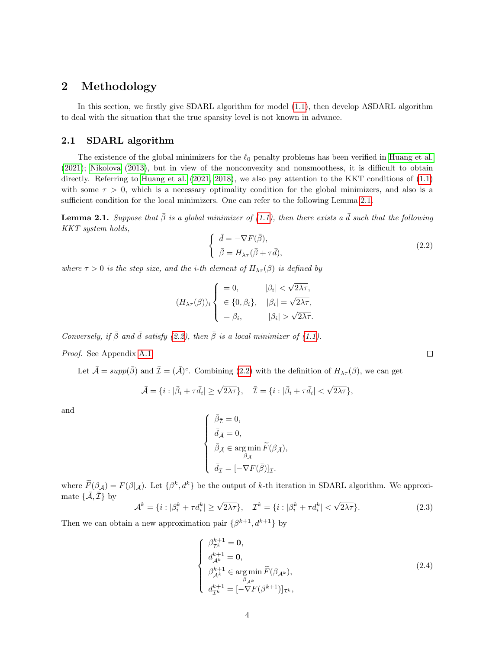# <span id="page-3-0"></span>2 Methodology

In this section, we firstly give SDARL algorithm for model [\(1.1\)](#page-0-0), then develop ASDARL algorithm to deal with the situation that the true sparsity level is not known in advance.

### 2.1 SDARL algorithm

The existence of the global minimizers for the  $\ell_0$  penalty problems has been verified in [Huang et al.](#page-20-14) [\(2021\)](#page-20-14); [Nikolova](#page-21-16) [\(2013\)](#page-21-16), but in view of the nonconvexity and nonsmoothess, it is difficult to obtain directly. Referring to [Huang et al.](#page-20-0) [\(2021,](#page-20-0) [2018\)](#page-20-7), we also pay attention to the KKT conditions of  $(1.1)$ with some  $\tau > 0$ , which is a necessary optimality condition for the global minimizers, and also is a sufficient condition for the local minimizers. One can refer to the following Lemma [2.1.](#page-3-1)

<span id="page-3-1"></span>**Lemma 2.1.** Suppose that  $\bar{\beta}$  is a global minimizer of [\(1.1\)](#page-0-0), then there exists a  $\bar{d}$  such that the following KKT system holds,

<span id="page-3-2"></span>
$$
\begin{cases}\n\bar{d} = -\nabla F(\bar{\beta}), \\
\bar{\beta} = H_{\lambda\tau}(\bar{\beta} + \tau\bar{d}),\n\end{cases}
$$
\n(2.2)

where  $\tau > 0$  is the step size, and the *i*-th element of  $H_{\lambda \tau}(\beta)$  is defined by

<span id="page-3-4"></span>
$$
(H_{\lambda \tau}(\beta))_i \begin{cases} = 0, & |\beta_i| < \sqrt{2\lambda \tau}, \\ \in \{0, \beta_i\}, & |\beta_i| = \sqrt{2\lambda \tau}, \\ = \beta_i, & |\beta_i| > \sqrt{2\lambda \tau}. \end{cases}
$$

Conversely, if  $\bar{\beta}$  and  $\bar{d}$  satisfy [\(2.2\)](#page-3-2), then  $\bar{\beta}$  is a local minimizer of [\(1.1\)](#page-0-0).

Proof. See Appendix [A.1.](#page-15-0)

Let  $\bar{\mathcal{A}} = supp(\bar{\beta})$  and  $\bar{\mathcal{I}} = (\bar{\mathcal{A}})^c$ . Combining [\(2.2\)](#page-3-2) with the definition of  $H_{\lambda\tau}(\beta)$ , we can get

$$
\bar{\mathcal{A}} = \{i : |\bar{\beta}_i + \tau \bar{d}_i| \ge \sqrt{2\lambda\tau}\}, \quad \bar{\mathcal{I}} = \{i : |\bar{\beta}_i + \tau \bar{d}_i| < \sqrt{2\lambda\tau}\},
$$

and

$$
\left\{ \begin{array}{l} \bar{\beta}_{\bar{\mathcal{I}}}=0, \\[1mm] \bar{d}_{\bar{\mathcal{A}}}=0, \\[1mm] \bar{\beta}_{\bar{\mathcal{A}}} \in \mathop{\arg\min}_{\beta_{\bar{\mathcal{A}}}} \widetilde{F}(\beta_{\bar{\mathcal{A}}}), \\[1mm] \bar{d}_{\bar{\mathcal{I}}}=[-\nabla F(\bar{\beta})]_{\bar{\mathcal{I}}} . \end{array} \right. \label{eq:2.1}
$$

where  $\widetilde{F}(\beta_{\bar{\mathcal{A}}}) = F(\beta|_{\bar{\mathcal{A}}})$ . Let  $\{\beta^k, d^k\}$  be the output of k-th iteration in SDARL algorithm. We approximate  $\{\bar{\mathcal{A}}, \bar{\mathcal{I}}\}$  by √

$$
\mathcal{A}^k = \{i : |\beta_i^k + \tau d_i^k| \ge \sqrt{2\lambda\tau}\}, \quad \mathcal{I}^k = \{i : |\beta_i^k + \tau d_i^k| < \sqrt{2\lambda\tau}\}.\tag{2.3}
$$

Then we can obtain a new approximation pair  $\{\beta^{k+1}, d^{k+1}\}\$  by

<span id="page-3-3"></span>
$$
\begin{cases}\n\beta_{\mathcal{I}^k}^{k+1} = \mathbf{0}, \\
d_{\mathcal{A}^k}^{k+1} = \mathbf{0}, \\
\beta_{\mathcal{A}^k}^{k+1} \in \operatorname*{arg\,min}_{\beta_{\mathcal{A}^k}} \widetilde{F}(\beta_{\mathcal{A}^k}), \\
d_{\mathcal{I}^k}^{k+1} = [-\nabla F(\beta^{k+1})]_{\mathcal{I}^k},\n\end{cases} \tag{2.4}
$$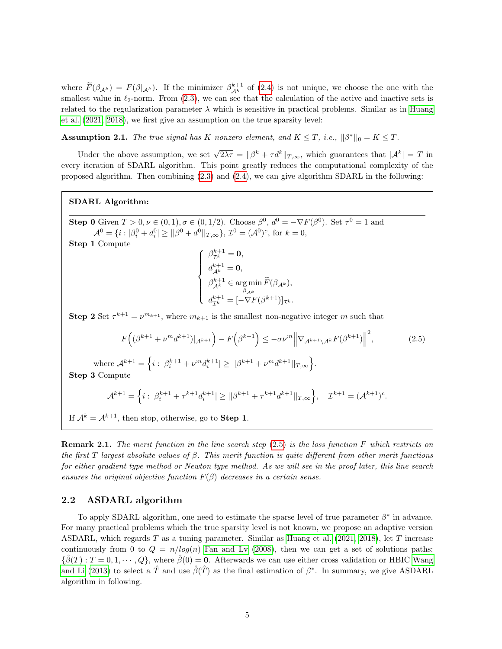where  $\widetilde{F}(\beta_{A^k}) = F(\beta|_{A^k})$ . If the minimizer  $\beta_{A^k}^{k+1}$  of [\(2.4\)](#page-3-3) is not unique, we choose the one with the smallest value in  $\ell_2$ -norm. From [\(2.3\)](#page-3-4), we can see that the calculation of the active and inactive sets is related to the regularization parameter  $\lambda$  which is sensitive in practical problems. Similar as in [Huang](#page-20-0) [et al.](#page-20-0) [\(2021,](#page-20-0) [2018\)](#page-20-7), we first give an assumption on the true sparsity level:

**Assumption 2.1.** The true signal has K nonzero element, and  $K \leq T$ , i.e.,  $||\beta^*||_0 = K \leq T$ .

Under the above assumption, we set  $\sqrt{2\lambda\tau} = ||\beta^k + \tau d^k||_{T,\infty}$ , which guarantees that  $|\mathcal{A}^k| = T$  in every iteration of SDARL algorithm. This point greatly reduces the computational complexity of the proposed algorithm. Then combining [\(2.3\)](#page-3-4) and [\(2.4\)](#page-3-3), we can give algorithm SDARL in the following:

# SDARL Algorithm:

**Step 0** Given  $T > 0, \nu \in (0, 1), \sigma \in (0, 1/2)$ . Choose  $\beta^0, d^0 = -\nabla F(\beta^0)$ . Set  $\tau^0 = 1$  and  $\mathcal{A}^0 = \{i : |\beta_i^0 + d_i^0| \ge ||\beta^0 + d^0||_{T,\infty}\}, \mathcal{I}^0 = (\mathcal{A}^0)^c$ , for  $k = 0$ ,

Step 1 Compute

<span id="page-4-0"></span>
$$
\left\{\begin{array}{l} \beta_{\mathcal{I}^k}^{k+1}=\mathbf{0},\\ d_{\mathcal{A}^k}^{k+1}=\mathbf{0},\\ \beta_{\mathcal{A}^k}^{k+1}\in\mathop{\arg\min}\limits_{\beta_{\mathcal{A}^k}}\widetilde{F}(\beta_{\mathcal{A}^k}),\\ d_{\mathcal{I}^k}^{k+1}=[-\nabla F(\beta^{k+1})]_{\mathcal{I}^k}.\end{array}\right.
$$

**Step 2** Set  $\tau^{k+1} = \nu^{m_{k+1}}$ , where  $m_{k+1}$  is the smallest non-negative integer m such that

$$
F\left((\beta^{k+1} + \nu^m d^{k+1})|_{\mathcal{A}^{k+1}}\right) - F\left(\beta^{k+1}\right) \leq -\sigma \nu^m \left\|\nabla_{\mathcal{A}^{k+1} \setminus \mathcal{A}^k} F(\beta^{k+1})\right\|^2, \tag{2.5}
$$

where  $\mathcal{A}^{k+1} = \left\{ i : |\beta_i^{k+1} + \nu^m d_i^{k+1}| \geq ||\beta^{k+1} + \nu^m d^{k+1}||_{T,\infty} \right\}.$ 

Step 3 Compute

$$
\mathcal{A}^{k+1} = \left\{ i : |\beta_i^{k+1} + \tau^{k+1} d_i^{k+1}| \geq ||\beta^{k+1} + \tau^{k+1} d^{k+1}||_{T,\infty} \right\}, \quad \mathcal{I}^{k+1} = (\mathcal{A}^{k+1})^c.
$$

If  $\mathcal{A}^k = \mathcal{A}^{k+1}$ , then stop, otherwise, go to **Step 1**.

**Remark 2.1.** The merit function in the line search step  $(2.5)$  is the loss function F which restricts on the first T largest absolute values of  $\beta$ . This merit function is quite different from other merit functions for either gradient type method or Newton type method. As we will see in the proof later, this line search ensures the original objective function  $F(\beta)$  decreases in a certain sense.

### 2.2 ASDARL algorithm

To apply SDARL algorithm, one need to estimate the sparse level of true parameter  $\beta^*$  in advance. For many practical problems which the true sparsity level is not known, we propose an adaptive version ASDARL, which regards  $T$  as a tuning parameter. Similar as [Huang et al.](#page-20-0) [\(2021,](#page-20-0) [2018\)](#page-20-7), let  $T$  increase continuously from 0 to  $Q = n/log(n)$  [Fan and Lv](#page-20-16) [\(2008\)](#page-20-16), then we can get a set of solutions paths:  ${\{\hat{\beta}(T): T = 0, 1, \cdots, Q\}}$ , where  $\hat{\beta}(0) = 0$ . Afterwards we can use either cross validation or HBIC [Wang](#page-21-17) [and Li](#page-21-17) [\(2013\)](#page-21-17) to select a  $\hat{T}$  and use  $\hat{\beta}(\hat{T})$  as the final estimation of  $\beta^*$ . In summary, we give ASDARL algorithm in following.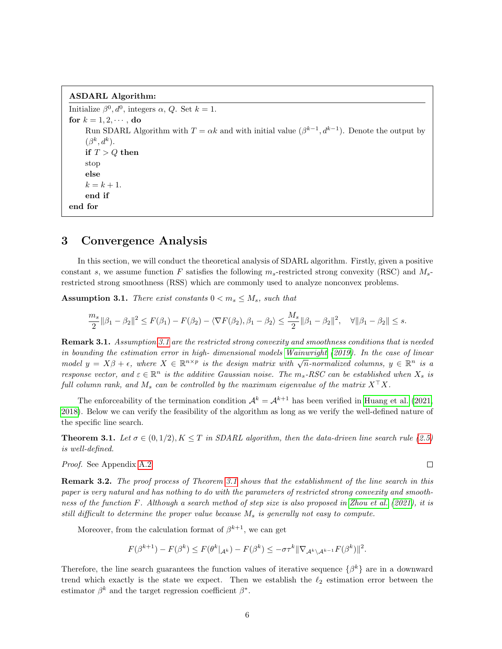#### ASDARL Algorithm:

Initialize  $\beta^0, d^0$ , integers  $\alpha$ , Q. Set  $k = 1$ . for  $k = 1, 2, \cdots$ , do Run SDARL Algorithm with  $T = \alpha k$  and with initial value  $(\beta^{k-1}, d^{k-1})$ . Denote the output by  $(\beta^k, d^k).$ if  $T > Q$  then stop else  $k = k + 1.$ end if end for

# <span id="page-5-0"></span>3 Convergence Analysis

In this section, we will conduct the theoretical analysis of SDARL algorithm. Firstly, given a positive constant s, we assume function F satisfies the following  $m_s$ -restricted strong convexity (RSC) and  $M_s$ restricted strong smoothness (RSS) which are commonly used to analyze nonconvex problems.

<span id="page-5-1"></span>**Assumption 3.1.** There exist constants  $0 < m_s \leq M_s$ , such that

$$
\frac{m_s}{2} \|\beta_1 - \beta_2\|^2 \le F(\beta_1) - F(\beta_2) - \langle \nabla F(\beta_2), \beta_1 - \beta_2 \rangle \le \frac{M_s}{2} \|\beta_1 - \beta_2\|^2, \quad \forall \|\beta_1 - \beta_2\| \le s.
$$

Remark 3.1. Assumption [3.1](#page-5-1) are the restricted strong convexity and smoothness conditions that is needed in bounding the estimation error in high- dimensional models [Wainwright](#page-21-18) [\(2019\)](#page-21-18). In the case of linear model  $y = X\beta + \epsilon$ , where  $X \in \mathbb{R}^{n \times p}$  is the design matrix with  $\sqrt{n}$ -normalized columns,  $y \in \mathbb{R}^n$  is a response vector, and  $\varepsilon \in \mathbb{R}^n$  is the additive Gaussian noise. The  $m_s$ -RSC can be established when  $X_s$  is full column rank, and  $M_s$  can be controlled by the maximum eigenvalue of the matrix  $X^{\top}X$ .

The enforceability of the termination condition  $A^k = A^{k+1}$  has been verified in [Huang et al.](#page-20-0) [\(2021,](#page-20-0) [2018\)](#page-20-7). Below we can verify the feasibility of the algorithm as long as we verify the well-defined nature of the specific line search.

<span id="page-5-2"></span>**Theorem 3.1.** Let  $\sigma \in (0, 1/2), K \leq T$  in SDARL algorithm, then the data-driven line search rule [\(2.5\)](#page-4-0) is well-defined.

Proof. See Appendix [A.2.](#page-16-0)

Remark 3.2. The proof process of Theorem [3.1](#page-5-2) shows that the establishment of the line search in this paper is very natural and has nothing to do with the parameters of restricted strong convexity and smoothness of the function F. Although a search method of step size is also proposed in [Zhou et al.](#page-22-1) [\(2021\)](#page-22-1), it is still difficult to determine the proper value because  $M_s$  is generally not easy to compute.

Moreover, from the calculation format of  $\beta^{k+1}$ , we can get

$$
F(\beta^{k+1}) - F(\beta^k) \le F(\theta^k|_{\mathcal{A}^k}) - F(\beta^k) \le -\sigma \tau^k \|\nabla_{\mathcal{A}^k \setminus \mathcal{A}^{k-1}} F(\beta^k)\|^2.
$$

Therefore, the line search guarantees the function values of iterative sequence  $\{\beta^k\}$  are in a downward trend which exactly is the state we expect. Then we establish the  $\ell_2$  estimation error between the estimator  $\beta^k$  and the target regression coefficient  $\beta^*$ .

 $\Box$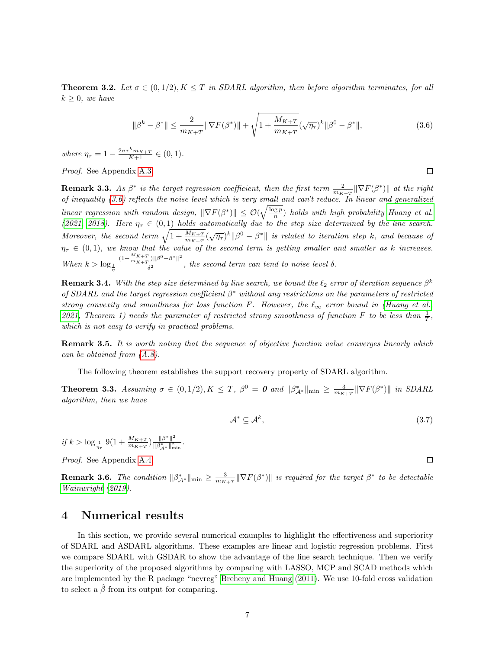<span id="page-6-2"></span>**Theorem 3.2.** Let  $\sigma \in (0, 1/2), K \leq T$  in SDARL algorithm, then before algorithm terminates, for all  $k \geq 0$ , we have

$$
\|\beta^k - \beta^*\| \le \frac{2}{m_{K+T}} \|\nabla F(\beta^*)\| + \sqrt{1 + \frac{M_{K+T}}{m_{K+T}}} (\sqrt{\eta_\tau})^k \|\beta^0 - \beta^*\|,
$$
\n(3.6)

where  $\eta_{\tau} = 1 - \frac{2\sigma \tau^k m_{K+T}}{K+1} \in (0,1)$ .

Proof. See Appendix [A.3.](#page-18-0)

**Remark 3.3.** As  $\beta^*$  is the target regression coefficient, then the first term  $\frac{2}{m_{K+T}}\|\nabla F(\beta^*)\|$  at the right of inequality [\(3.6\)](#page-6-1) reflects the noise level which is very small and can't reduce. In linear and generalized linear regression with random design,  $\|\nabla F(\beta^*)\| \leq \mathcal{O}(\sqrt{\frac{\log p}{n}})$  holds with high probability [Huang et al.](#page-20-0) [\(2021,](#page-20-0) [2018\)](#page-20-7). Here  $\eta_{\tau} \in (0,1)$  holds automatically due to the step size determined by the line search. Moreover, the second term  $\sqrt{1 + \frac{M_{K+T}}{m_{K+T}}}(\sqrt{\eta_{\tau}})^k ||\beta^0 - \beta^*||$  is related to iteration step k, and because of  $\eta_{\tau} \in (0,1)$ , we know that the value of the second term is getting smaller and smaller as k increases. When  $k > \log_{\frac{1}{\eta}}$  $(1+\frac{M_{K+T}}{m_{K+T}})\|\beta^0-\beta^*\|^2$  $\frac{1}{\delta^2}$ , the second term can tend to noise level  $\delta$ .

**Remark 3.4.** With the step size determined by line search, we bound the  $\ell_2$  error of iteration sequence  $\beta^k$ of SDARL and the target regression coefficient  $\beta^*$  without any restrictions on the parameters of restricted strong convexity and smoothness for loss function F. However, the  $\ell_{\infty}$  error bound in [\(Huang et al.,](#page-20-0) [2021,](#page-20-0) Theorem 1) needs the parameter of restricted strong smoothness of function F to be less than  $\frac{1}{T}$ , which is not easy to verify in practical problems.

**Remark 3.5.** It is worth noting that the sequence of objective function value converges linearly which can be obtained from [\(A.8\)](#page-18-1).

The following theorem establishes the support recovery property of SDARL algorithm.

<span id="page-6-3"></span>**Theorem 3.3.** Assuming  $\sigma \in (0, 1/2), K \leq T$ ,  $\beta^0 = \mathbf{0}$  and  $\|\beta^*_{\mathcal{A}^*}\|_{\min} \geq \frac{3}{m_{K+T}} \|\nabla F(\beta^*)\|$  in SDARL algorithm, then we have

$$
\mathcal{A}^* \subseteq \mathcal{A}^k,\tag{3.7}
$$

if  $k > \log_{\frac{1}{\eta_{\tau}}} 9(1 + \frac{M_{K+T}}{m_{K+T}}) \frac{\|\beta^*\|^2}{\|\beta^*_{\mathcal{A}^*}\|_{\mathfrak{m}}^2}$  $\frac{\|\beta\|}{\|\beta^*_{\mathcal{A}^*}\|_{\min}^2}$ .

Proof. See Appendix [A.4.](#page-19-5)

**Remark 3.6.** The condition  $\|\beta^*_{A^*}\|_{\min} \ge \frac{3}{m_{K+T}} \|\nabla F(\beta^*)\|$  is required for the target  $\beta^*$  to be detectable [Wainwright](#page-21-18) [\(2019\)](#page-21-18).

# <span id="page-6-0"></span>4 Numerical results

In this section, we provide several numerical examples to highlight the effectiveness and superiority of SDARL and ASDARL algorithms. These examples are linear and logistic regression problems. First we compare SDARL with GSDAR to show the advantage of the line search technique. Then we verify the superiority of the proposed algorithms by comparing with LASSO, MCP and SCAD methods which are implemented by the R package "ncvreg" [Breheny and Huang](#page-19-1) [\(2011\)](#page-19-1). We use 10-fold cross validation to select a  $\beta$  from its output for comparing.

 $\Box$ 

<span id="page-6-1"></span> $\Box$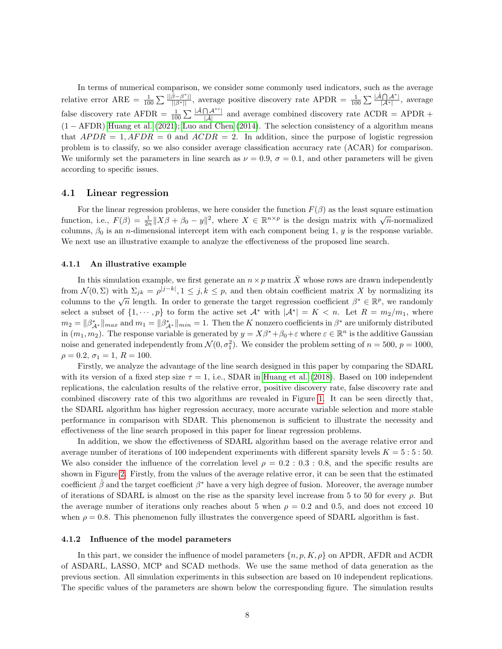In terms of numerical comparison, we consider some commonly used indicators, such as the average relative error ARE =  $\frac{1}{100} \sum \frac{||\hat{\beta} - \beta^*||}{||\beta^*||}$ , average positive discovery rate APDR =  $\frac{1}{100} \sum \frac{|\hat{\mathcal{A}} \cap \mathcal{A}^*|}{|\mathcal{A}^*|}$ , average false discovery rate AFDR =  $\frac{1}{100} \sum \frac{|\hat{\mathcal{A}} \cap \mathcal{A}^{*c}|}{|\hat{\mathcal{A}}|}$  and average combined discovery rate ACDR = APDR + (1 − AFDR) [Huang et al.](#page-20-0) [\(2021\)](#page-20-0); [Luo and Chen](#page-20-17) [\(2014\)](#page-20-17). The selection consistency of a algorithm means that  $APDR = 1, AFDR = 0$  and  $ACDR = 2$ . In addition, since the purpose of logistic regression problem is to classify, so we also consider average classification accuracy rate (ACAR) for comparison. We uniformly set the parameters in line search as  $\nu = 0.9$ ,  $\sigma = 0.1$ , and other parameters will be given according to specific issues.

### 4.1 Linear regression

For the linear regression problems, we here consider the function  $F(\beta)$  as the least square estimation function, i.e.,  $F(\beta) = \frac{1}{2n} ||X\beta + \beta_0 - y||^2$ , where  $X \in \mathbb{R}^{n \times p}$  is the design matrix with  $\sqrt{n}$ -normalized columns,  $\beta_0$  is an *n*-dimensional intercept item with each component being 1, y is the response variable. We next use an illustrative example to analyze the effectiveness of the proposed line search.

#### <span id="page-7-0"></span>4.1.1 An illustrative example

In this simulation example, we first generate an  $n \times p$  matrix  $\bar{X}$  whose rows are drawn independently from  $\mathcal{N}(0,\Sigma)$  with  $\Sigma_{jk} = \rho^{|j-k|}, 1 \leq j, k \leq p$ , and then obtain coefficient matrix X by normalizing its columns to the  $\sqrt{n}$  length. In order to generate the target regression coefficient  $\beta^* \in \mathbb{R}^p$ , we randomly select a subset of  $\{1, \dots, p\}$  to form the active set  $\mathcal{A}^*$  with  $|\mathcal{A}^*| = K < n$ . Let  $R = m_2/m_1$ , where  $m_2 = ||\beta^*_{\mathcal{A}^*}||_{max}$  and  $m_1 = ||\beta^*_{\mathcal{A}^*}||_{min} = 1$ . Then the K nonzero coefficients in  $\beta^*$  are uniformly distributed in  $(m_1, m_2)$ . The response variable is generated by  $y = X\beta^* + \beta_0 + \varepsilon$  where  $\varepsilon \in \mathbb{R}^n$  is the additive Gaussian noise and generated independently from  $\mathcal{N}(0, \sigma_1^2)$ . We consider the problem setting of  $n = 500$ ,  $p = 1000$ ,  $\rho = 0.2, \sigma_1 = 1, R = 100.$ 

Firstly, we analyze the advantage of the line search designed in this paper by comparing the SDARL with its version of a fixed step size  $\tau = 1$ , i.e., SDAR in [Huang et al.](#page-20-7) [\(2018\)](#page-20-7). Based on 100 independent replications, the calculation results of the relative error, positive discovery rate, false discovery rate and combined discovery rate of this two algorithms are revealed in Figure [1.](#page-8-0) It can be seen directly that, the SDARL algorithm has higher regression accuracy, more accurate variable selection and more stable performance in comparison with SDAR. This phenomenon is sufficient to illustrate the necessity and effectiveness of the line search proposed in this paper for linear regression problems.

In addition, we show the effectiveness of SDARL algorithm based on the average relative error and average number of iterations of 100 independent experiments with different sparsity levels  $K = 5:5:50$ . We also consider the influence of the correlation level  $\rho = 0.2 : 0.3 : 0.8$ , and the specific results are shown in Figure [2.](#page-8-1) Firstly, from the values of the average relative error, it can be seen that the estimated coefficient  $\hat{\beta}$  and the target coefficient  $\beta^*$  have a very high degree of fusion. Moreover, the average number of iterations of SDARL is almost on the rise as the sparsity level increase from 5 to 50 for every  $\rho$ . But the average number of iterations only reaches about 5 when  $\rho = 0.2$  and 0.5, and does not exceed 10 when  $\rho = 0.8$ . This phenomenon fully illustrates the convergence speed of SDARL algorithm is fast.

#### 4.1.2 Influence of the model parameters

In this part, we consider the influence of model parameters  $\{n, p, K, \rho\}$  on APDR, AFDR and ACDR of ASDARL, LASSO, MCP and SCAD methods. We use the same method of data generation as the previous section. All simulation experiments in this subsection are based on 10 independent replications. The specific values of the parameters are shown below the corresponding figure. The simulation results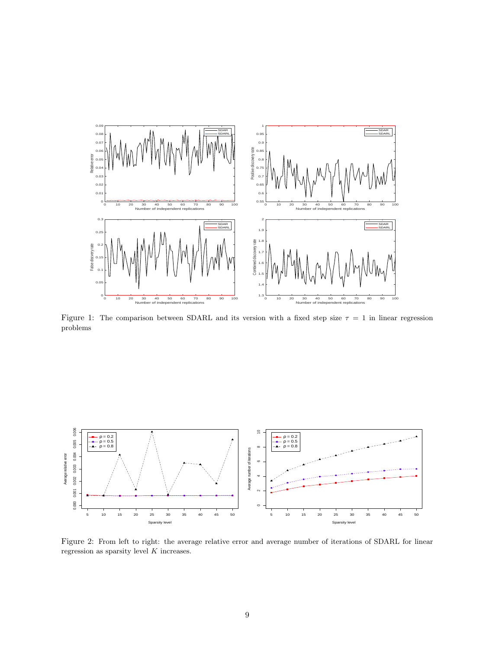<span id="page-8-0"></span>

Figure 1: The comparison between SDARL and its version with a fixed step size  $\tau = 1$  in linear regression problems

<span id="page-8-1"></span>

Figure 2: From left to right: the average relative error and average number of iterations of SDARL for linear regression as sparsity level K increases.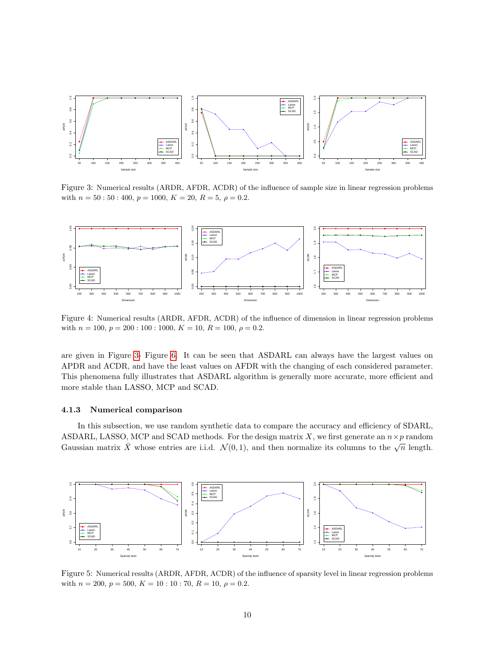<span id="page-9-0"></span>

Figure 3: Numerical results (ARDR, AFDR, ACDR) of the influence of sample size in linear regression problems with  $n = 50$ : 50: 400,  $p = 1000$ ,  $K = 20$ ,  $R = 5$ ,  $\rho = 0.2$ .



Figure 4: Numerical results (ARDR, AFDR, ACDR) of the influence of dimension in linear regression problems with  $n = 100$ ,  $p = 200$ : 100: 1000,  $K = 10$ ,  $R = 100$ ,  $\rho = 0.2$ .

are given in Figure [3-](#page-9-0) Figure [6.](#page-10-0) It can be seen that ASDARL can always have the largest values on APDR and ACDR, and have the least values on AFDR with the changing of each considered parameter. This phenomena fully illustrates that ASDARL algorithm is generally more accurate, more efficient and more stable than LASSO, MCP and SCAD.

#### <span id="page-9-1"></span>4.1.3 Numerical comparison

In this subsection, we use random synthetic data to compare the accuracy and efficiency of SDARL, ASDARL, LASSO, MCP and SCAD methods. For the design matrix X, we first generate an  $n \times p$  random Gaussian matrix  $\bar{X}$  whose entries are i.i.d.  $\mathcal{N}(0,1)$ , and then normalize its columns to the  $\sqrt{n}$  length.



Figure 5: Numerical results (ARDR, AFDR, ACDR) of the influence of sparsity level in linear regression problems with  $n = 200$ ,  $p = 500$ ,  $K = 10:10:70$ ,  $R = 10$ ,  $\rho = 0.2$ .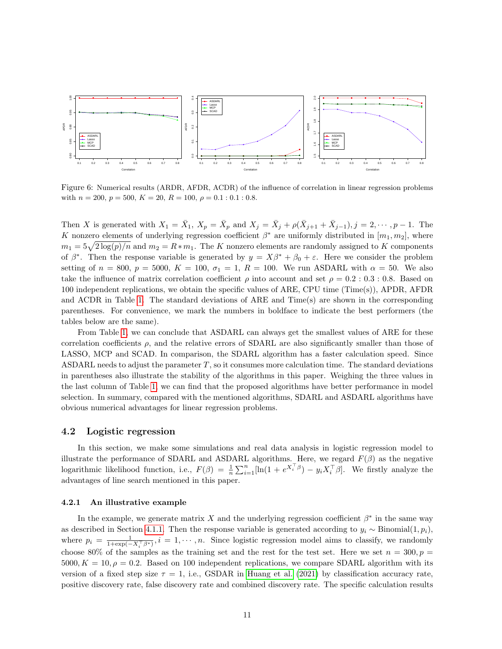<span id="page-10-0"></span>

Figure 6: Numerical results (ARDR, AFDR, ACDR) of the influence of correlation in linear regression problems with  $n = 200$ ,  $p = 500$ ,  $K = 20$ ,  $R = 100$ ,  $\rho = 0.1 : 0.1 : 0.8$ .

Then X is generated with  $X_1 = \overline{X}_1$ ,  $X_p = \overline{X}_p$  and  $X_j = \overline{X}_j + \rho(\overline{X}_{j+1} + \overline{X}_{j-1}), j = 2, \dots, p-1$ . The K nonzero elements of underlying regression coefficient  $\beta^*$  are uniformly distributed in  $[m_1, m_2]$ , where  $m_1 = 5\sqrt{2\log(p)/n}$  and  $m_2 = R * m_1$ . The K nonzero elements are randomly assigned to K components of  $\beta^*$ . Then the response variable is generated by  $y = X\beta^* + \beta_0 + \varepsilon$ . Here we consider the problem setting of  $n = 800$ ,  $p = 5000$ ,  $K = 100$ ,  $\sigma_1 = 1$ ,  $R = 100$ . We run ASDARL with  $\alpha = 50$ . We also take the influence of matrix correlation coefficient  $\rho$  into account and set  $\rho = 0.2 : 0.3 : 0.8$ . Based on 100 independent replications, we obtain the specific values of ARE, CPU time (Time(s)), APDR, AFDR and ACDR in Table [1.](#page-11-0) The standard deviations of ARE and Time(s) are shown in the corresponding parentheses. For convenience, we mark the numbers in boldface to indicate the best performers (the tables below are the same).

From Table [1,](#page-11-0) we can conclude that ASDARL can always get the smallest values of ARE for these correlation coefficients  $\rho$ , and the relative errors of SDARL are also significantly smaller than those of LASSO, MCP and SCAD. In comparison, the SDARL algorithm has a faster calculation speed. Since ASDARL needs to adjust the parameter  $T$ , so it consumes more calculation time. The standard deviations in parentheses also illustrate the stability of the algorithms in this paper. Weighing the three values in the last column of Table [1,](#page-11-0) we can find that the proposed algorithms have better performance in model selection. In summary, compared with the mentioned algorithms, SDARL and ASDARL algorithms have obvious numerical advantages for linear regression problems.

### 4.2 Logistic regression

In this section, we make some simulations and real data analysis in logistic regression model to illustrate the performance of SDARL and ASDARL algorithms. Here, we regard  $F(\beta)$  as the negative logarithmic likelihood function, i.e.,  $F(\beta) = \frac{1}{n} \sum_{i=1}^{n} [\ln(1 + e^{X_i^{\top} \beta}) - y_i X_i^{\top} \beta]$ . We firstly analyze the advantages of line search mentioned in this paper.

#### 4.2.1 An illustrative example

In the example, we generate matrix X and the underlying regression coefficient  $\beta^*$  in the same way as described in Section [4.1.1.](#page-7-0) Then the response variable is generated according to  $y_i \sim Binomial(1, p_i)$ , where  $p_i = \frac{1}{1 + \exp(-X_i^{\top} \beta^*)}, i = 1, \cdots, n$ . Since logistic regression model aims to classify, we randomly choose 80% of the samples as the training set and the rest for the test set. Here we set  $n = 300, p =$  $5000, K = 10, \rho = 0.2$ . Based on 100 independent replications, we compare SDARL algorithm with its version of a fixed step size  $\tau = 1$ , i.e., GSDAR in [Huang et al.](#page-20-0) [\(2021\)](#page-20-0) by classification accuracy rate, positive discovery rate, false discovery rate and combined discovery rate. The specific calculation results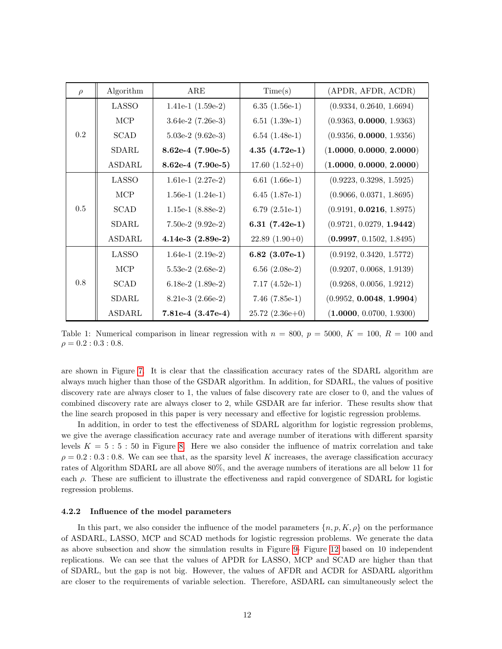<span id="page-11-0"></span>

| $\rho$ | Algorithm     | $_{\rm ARE}$          | Time(s)            | (APDR, AFDR, ACDR)       |
|--------|---------------|-----------------------|--------------------|--------------------------|
| 0.2    | <b>LASSO</b>  | 1.41e-1 $(1.59e-2)$   | $6.35(1.56e-1)$    | (0.9334, 0.2640, 1.6694) |
|        | MCP           | 3.64e-2 $(7.26e-3)$   | $6.51(1.39e-1)$    | (0.9363, 0.0000, 1.9363) |
|        | <b>SCAD</b>   | 5.03e-2 $(9.62e-3)$   | $6.54(1.48e-1)$    | (0.9356, 0.0000, 1.9356) |
|        | <b>SDARL</b>  | $8.62e-4$ (7.90e-5)   | $4.35(4.72e-1)$    | (1.0000, 0.0000, 2.0000) |
|        | <b>ASDARL</b> | $8.62e-4$ (7.90e-5)   | $17.60(1.52+0)$    | (1.0000, 0.0000, 2.0000) |
| 0.5    | <b>LASSO</b>  | 1.61e-1 $(2.27e-2)$   | $6.61(1.66e-1)$    | (0.9223, 0.3298, 1.5925) |
|        | <b>MCP</b>    | $1.56e-1$ $(1.24e-1)$ | $6.45(1.87e-1)$    | (0.9066, 0.0371, 1.8695) |
|        | <b>SCAD</b>   | 1.15e-1 $(8.88e-2)$   | $6.79(2.51e-1)$    | (0.9191, 0.0216, 1.8975) |
|        | <b>SDARL</b>  | 7.50e-2 $(9.92e-2)$   | 6.31 $(7.42e-1)$   | (0.9721, 0.0279, 1.9442) |
|        | <b>ASDARL</b> | 4.14e-3 $(2.89e-2)$   | $22.89(1.90+0)$    | (0.9997, 0.1502, 1.8495) |
| 0.8    | <b>LASSO</b>  | 1.64e-1 $(2.19e-2)$   | $6.82(3.07e-1)$    | (0.9192, 0.3420, 1.5772) |
|        | <b>MCP</b>    | 5.53e-2 $(2.68e-2)$   | $6.56$ $(2.08e-2)$ | (0.9207, 0.0068, 1.9139) |
|        | <b>SCAD</b>   | 6.18e-2 $(1.89e-2)$   | $7.17(4.52e-1)$    | (0.9268, 0.0056, 1.9212) |
|        | <b>SDARL</b>  | $8.21e-3(2.66e-2)$    | $7.46(7.85e-1)$    | (0.9952, 0.0048, 1.9904) |
|        | <b>ASDARL</b> | 7.81e-4 $(3.47e-4)$   | $25.72(2.36e+0)$   | (1.0000, 0.0700, 1.9300) |

Table 1: Numerical comparison in linear regression with  $n = 800$ ,  $p = 5000$ ,  $K = 100$ ,  $R = 100$  and  $\rho = 0.2 : 0.3 : 0.8.$ 

are shown in Figure [7.](#page-12-0) It is clear that the classification accuracy rates of the SDARL algorithm are always much higher than those of the GSDAR algorithm. In addition, for SDARL, the values of positive discovery rate are always closer to 1, the values of false discovery rate are closer to 0, and the values of combined discovery rate are always closer to 2, while GSDAR are far inferior. These results show that the line search proposed in this paper is very necessary and effective for logistic regression problems.

In addition, in order to test the effectiveness of SDARL algorithm for logistic regression problems, we give the average classification accuracy rate and average number of iterations with different sparsity levels  $K = 5 : 5 : 50$  in Figure [8.](#page-12-1) Here we also consider the influence of matrix correlation and take  $\rho = 0.2 : 0.3 : 0.8$ . We can see that, as the sparsity level K increases, the average classification accuracy rates of Algorithm SDARL are all above 80%, and the average numbers of iterations are all below 11 for each  $\rho$ . These are sufficient to illustrate the effectiveness and rapid convergence of SDARL for logistic regression problems.

#### 4.2.2 Influence of the model parameters

In this part, we also consider the influence of the model parameters  $\{n, p, K, \rho\}$  on the performance of ASDARL, LASSO, MCP and SCAD methods for logistic regression problems. We generate the data as above subsection and show the simulation results in Figure [9-](#page-13-0) Figure [12](#page-13-1) based on 10 independent replications. We can see that the values of APDR for LASSO, MCP and SCAD are higher than that of SDARL, but the gap is not big. However, the values of AFDR and ACDR for ASDARL algorithm are closer to the requirements of variable selection. Therefore, ASDARL can simultaneously select the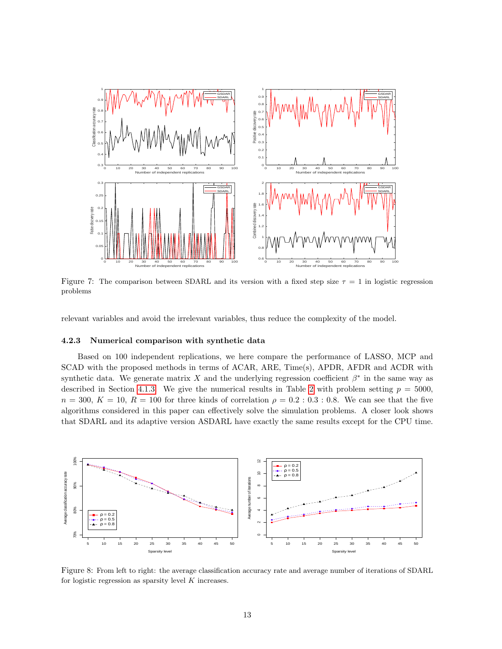<span id="page-12-0"></span>

Figure 7: The comparison between SDARL and its version with a fixed step size  $\tau = 1$  in logistic regression problems

relevant variables and avoid the irrelevant variables, thus reduce the complexity of the model.

#### 4.2.3 Numerical comparison with synthetic data

Based on 100 independent replications, we here compare the performance of LASSO, MCP and SCAD with the proposed methods in terms of ACAR, ARE, Time(s), APDR, AFDR and ACDR with synthetic data. We generate matrix X and the underlying regression coefficient  $\beta^*$  in the same way as described in Section [4.1.3.](#page-9-1) We give the numerical results in Table [2](#page-14-1) with problem setting  $p = 5000$ ,  $n = 300, K = 10, R = 100$  for three kinds of correlation  $\rho = 0.2 : 0.3 : 0.8$ . We can see that the five algorithms considered in this paper can effectively solve the simulation problems. A closer look shows that SDARL and its adaptive version ASDARL have exactly the same results except for the CPU time.

<span id="page-12-1"></span>

Figure 8: From left to right: the average classification accuracy rate and average number of iterations of SDARL for logistic regression as sparsity level  $K$  increases.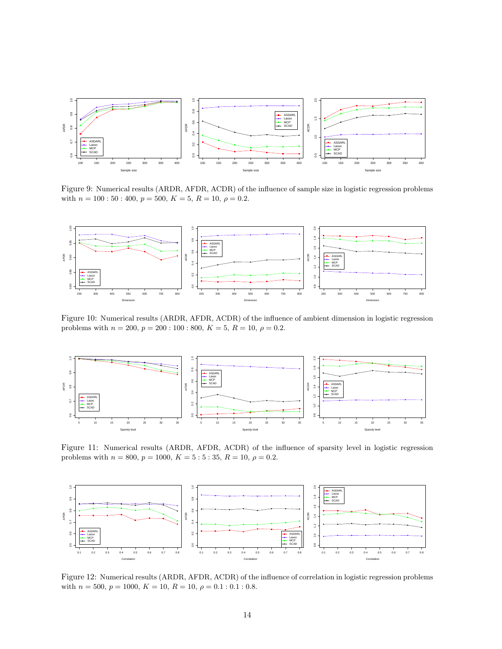<span id="page-13-0"></span>

Figure 9: Numerical results (ARDR, AFDR, ACDR) of the influence of sample size in logistic regression problems with  $n = 100$ : 50: 400,  $p = 500$ ,  $K = 5$ ,  $R = 10$ ,  $\rho = 0.2$ .



Figure 10: Numerical results (ARDR, AFDR, ACDR) of the influence of ambient dimension in logistic regression problems with  $n = 200$ ,  $p = 200 : 100 : 800$ ,  $K = 5$ ,  $R = 10$ ,  $\rho = 0.2$ .



Figure 11: Numerical results (ARDR, AFDR, ACDR) of the influence of sparsity level in logistic regression problems with  $n = 800$ ,  $p = 1000$ ,  $K = 5:5:35$ ,  $R = 10$ ,  $\rho = 0.2$ .

<span id="page-13-1"></span>

Figure 12: Numerical results (ARDR, AFDR, ACDR) of the influence of correlation in logistic regression problems with  $n = 500$ ,  $p = 1000$ ,  $K = 10$ ,  $R = 10$ ,  $\rho = 0.1 : 0.1 : 0.8$ .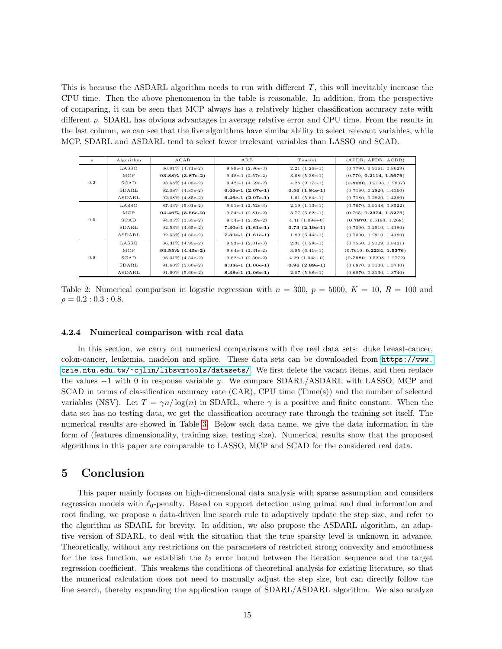This is because the ASDARL algorithm needs to run with different T, this will inevitably increase the CPU time. Then the above phenomenon in the table is reasonable. In addition, from the perspective of comparing, it can be seen that MCP always has a relatively higher classification accuracy rate with different  $\rho$ . SDARL has obvious advantages in average relative error and CPU time. From the results in the last column, we can see that the five algorithms have similar ability to select relevant variables, while MCP, SDARL and ASDARL tend to select fewer irrelevant variables than LASSO and SCAD.

<span id="page-14-1"></span>

| $\mathcal{O}$ | Algorithm | ACAR                  | $_{\rm ARE}$          | Time(s)         | (APDR, AFDR, ACDR)       |
|---------------|-----------|-----------------------|-----------------------|-----------------|--------------------------|
|               | LASSO     | 86.91% (4.71e-2)      | $9.89e-1(2.96e-3)$    | $2.21(1.26e-1)$ | (0.7790, 0.9161, 0.8629) |
| 0.2           | MCP       | 93.88% (3.87e-2)      | $9.48e-1(2.57e-2)$    | $3.68(5.38e-1)$ | (0.779, 0.2114, 1.5676)  |
|               | SCAD      | 93.68% (4.08e-2)      | $9.42e-1(4.59e-2)$    | $4.28(9.17e-1)$ | (0.8030, 0.5193, 1.2837) |
|               | SDARL     | 92.08% (4.85e-2)      | $6.46e-1$ $(2.07e-1)$ | $0.56(1.84e-1)$ | (0.7180, 0.2820, 1.4360) |
|               | ASDARL    | 92.08% (4.85e-2)      | $6.46e-1$ $(2.07e-1)$ | $1.61(5.64e-1)$ | (0.7180, 0.2820, 1.4360) |
| 0.5           | LASSO     | 87.43% (5.01e-2)      | $9.91e-1(2.52e-3)$    | $2.19(1.13e-1)$ | (0.7670, 0.9148, 0.8522) |
|               | MCP       | 94.46% (3.56e-2)      | $9.54e-1(2.81e-2)$    | $3.77(5.62e-1)$ | (0.765, 0.2374, 1.5276)  |
|               | SCAD      | 94.05% (3.85e-2)      | $9.54e-1(2.39e-2)$    | $4.41(1.09e+0)$ | (0.7870, 0.5190, 1.268)  |
|               | SDARL     | $92.53\%$ $(4.65e-2)$ | $7.30e-1(1.61e-1)$    | $0.73(2.19e-1)$ | (0.7090, 0.2910, 1.4180) |
|               | ASDARL    | 92.53% (4.65e-2)      | $7.30e-1$ $(1.61e-1)$ | $1.89(6.44e-1)$ | (0.7090, 0.2910, 1.4180) |
| 0.8           | LASSO     | 86.31% (4.95e-2)      | $9.93e-1$ $(2.01e-3)$ | $2.31(1.29e-1)$ | (0.7550, 0.9129, 0.8421) |
|               | MCP       | 93.55% (4.45e-2)      | $9.64e-1(2.31e-2)$    | $3.95(6.41e-1)$ | (0.7610, 0.2234, 1.5376) |
|               | SCAD      | 93.31\% (4.54e-2)     | $9.62e-1(2.50e-2)$    | $4.29(1.04e+0)$ | (0.7980, 0.5208, 1.2772) |
|               | SDARL     | $91.60\%$ (5.60e-2)   | $8.38e-1$ $(1.06e-1)$ | $0.96(2.89e-1)$ | (0.6870, 0.3130, 1.3740) |
|               | ASDARL    | $91.60\%$ (5.60e-2)   | $8.38e-1$ $(1.06e-1)$ | $2.07(5.68e-1)$ | (0.6870, 0.3130, 1.3740) |

Table 2: Numerical comparison in logistic regression with  $n = 300$ ,  $p = 5000$ ,  $K = 10$ ,  $R = 100$  and  $\rho = 0.2 : 0.3 : 0.8$ .

#### 4.2.4 Numerical comparison with real data

In this section, we carry out numerical comparisons with five real data sets: duke breast-cancer, colon-cancer, leukemia, madelon and splice. These data sets can be downloaded from [https://www.](https://www.csie.ntu.edu.tw/~cjlin/libsvmtools/datasets/) [csie.ntu.edu.tw/~cjlin/libsvmtools/datasets/](https://www.csie.ntu.edu.tw/~cjlin/libsvmtools/datasets/). We first delete the vacant items, and then replace the values  $-1$  with 0 in response variable y. We compare SDARL/ASDARL with LASSO, MCP and SCAD in terms of classification accuracy rate (CAR), CPU time (Time(s)) and the number of selected variables (NSV). Let  $T = \gamma n / \log(n)$  in SDARL, where  $\gamma$  is a positive and finite constant. When the data set has no testing data, we get the classification accuracy rate through the training set itself. The numerical results are showed in Table [3.](#page-15-1) Below each data name, we give the data information in the form of (features dimensionality, training size, testing size). Numerical results show that the proposed algorithms in this paper are comparable to LASSO, MCP and SCAD for the considered real data.

# <span id="page-14-0"></span>5 Conclusion

This paper mainly focuses on high-dimensional data analysis with sparse assumption and considers regression models with  $\ell_0$ -penalty. Based on support detection using primal and dual information and root finding, we propose a data-driven line search rule to adaptively update the step size, and refer to the algorithm as SDARL for brevity. In addition, we also propose the ASDARL algorithm, an adaptive version of SDARL, to deal with the situation that the true sparsity level is unknown in advance. Theoretically, without any restrictions on the parameters of restricted strong convexity and smoothness for the loss function, we establish the  $\ell_2$  error bound between the iteration sequence and the target regression coefficient. This weakens the conditions of theoretical analysis for existing literature, so that the numerical calculation does not need to manually adjust the step size, but can directly follow the line search, thereby expanding the application range of SDARL/ASDARL algorithm. We also analyze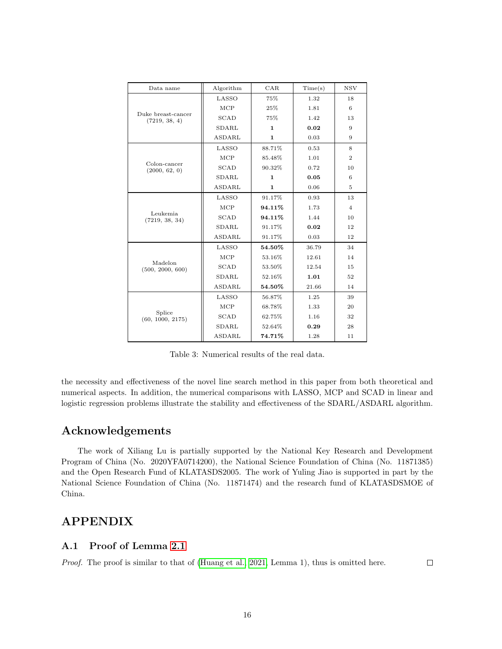<span id="page-15-1"></span>

| Data name                           | Algorithm     | CAR          | Time(s)                                                                                                                 | <b>NSV</b>     |
|-------------------------------------|---------------|--------------|-------------------------------------------------------------------------------------------------------------------------|----------------|
| Duke breast-cancer<br>(7219, 38, 4) | LASSO         | 75%          | 1.32                                                                                                                    | 18             |
|                                     | MCP           | 25%          | 1.81                                                                                                                    | 6              |
|                                     | <b>SCAD</b>   | 75%          | 1.42                                                                                                                    | 13             |
|                                     | SDARL         | $\mathbf{1}$ | 0.02                                                                                                                    | 9              |
|                                     | <b>ASDARL</b> | $\mathbf{1}$ | 0.03<br>0.53<br>1.01<br>0.72<br>0.05<br>0.06<br>0.93<br>1.73<br>1.44<br>0.02<br>0.03<br>36.79<br>12.61<br>12.54<br>1.01 | 9              |
|                                     | LASSO         | 88.71%       |                                                                                                                         | 8              |
|                                     | MCP           | 85.48%       |                                                                                                                         | $\mathbf{2}$   |
| Colon-cancer<br>(2000, 62, 0)       | SCAD          | 90.32%       |                                                                                                                         | 10             |
|                                     | SDARL         | $\mathbf{1}$ |                                                                                                                         | 6              |
|                                     | <b>ASDARL</b> | $\mathbf{1}$ |                                                                                                                         | 5              |
|                                     | LASSO         | 91.17%       |                                                                                                                         | 13             |
|                                     | MCP           | 94.11%       |                                                                                                                         | $\overline{4}$ |
| Leukemia<br>(7219, 38, 34)          | <b>SCAD</b>   | 94.11%       |                                                                                                                         | 10             |
|                                     | SDARL         | 91.17%       |                                                                                                                         | 12             |
|                                     | <b>ASDARL</b> | 91.17%       | 21.66<br>1.25<br>1.33<br>1.16<br>0.29<br>1.28                                                                           | 12             |
|                                     | LASSO         | 54.50%       |                                                                                                                         | 34             |
|                                     | MCP           | 53.16%       |                                                                                                                         | 14             |
| Madelon<br>(500, 2000, 600)         | <b>SCAD</b>   | 53.50%       |                                                                                                                         | 15             |
|                                     | SDARL         | 52.16%       |                                                                                                                         | 52             |
|                                     | <b>ASDARL</b> | 54.50%       |                                                                                                                         | 14             |
|                                     | LASSO         | 56.87%       |                                                                                                                         | 39             |
|                                     | MCP           | 68.78%       |                                                                                                                         | 20             |
| Splice<br>(60, 1000, 2175)          | <b>SCAD</b>   | 62.75%       |                                                                                                                         | 32             |
|                                     | SDARL         | 52.64%       |                                                                                                                         | 28             |
|                                     | <b>ASDARL</b> | 74.71%       |                                                                                                                         | 11             |

Table 3: Numerical results of the real data.

the necessity and effectiveness of the novel line search method in this paper from both theoretical and numerical aspects. In addition, the numerical comparisons with LASSO, MCP and SCAD in linear and logistic regression problems illustrate the stability and effectiveness of the SDARL/ASDARL algorithm.

# Acknowledgements

The work of Xiliang Lu is partially supported by the National Key Research and Development Program of China (No. 2020YFA0714200), the National Science Foundation of China (No. 11871385) and the Open Research Fund of KLATASDS2005. The work of Yuling Jiao is supported in part by the National Science Foundation of China (No. 11871474) and the research fund of KLATASDSMOE of China.

# APPENDIX

## <span id="page-15-0"></span>A.1 Proof of Lemma [2.1](#page-3-1)

Proof. The proof is similar to that of [\(Huang et al., 2021,](#page-20-0) Lemma 1), thus is omitted here.

 $\Box$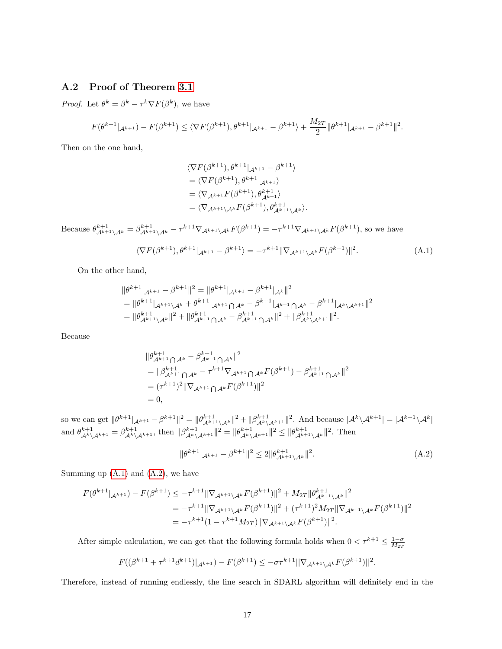## <span id="page-16-0"></span>A.2 Proof of Theorem [3.1](#page-5-2)

*Proof.* Let  $\theta^k = \beta^k - \tau^k \nabla F(\beta^k)$ , we have

$$
F(\theta^{k+1} |_{\mathcal{A}^{k+1}}) - F(\beta^{k+1}) \le \langle \nabla F(\beta^{k+1}), \theta^{k+1} |_{\mathcal{A}^{k+1}} - \beta^{k+1} \rangle + \frac{M_{2T}}{2} \|\theta^{k+1} |_{\mathcal{A}^{k+1}} - \beta^{k+1} \|^2.
$$

Then on the one hand,

<span id="page-16-1"></span>
$$
\langle \nabla F(\beta^{k+1}), \theta^{k+1} |_{\mathcal{A}^{k+1}} - \beta^{k+1} \rangle
$$
  
= 
$$
\langle \nabla F(\beta^{k+1}), \theta^{k+1} |_{\mathcal{A}^{k+1}} \rangle
$$
  
= 
$$
\langle \nabla_{\mathcal{A}^{k+1}} F(\beta^{k+1}), \theta^{k+1}_{\mathcal{A}^{k+1}} \rangle
$$
  
= 
$$
\langle \nabla_{\mathcal{A}^{k+1}} \rangle_{\mathcal{A}^k} F(\beta^{k+1}), \theta^{k+1}_{\mathcal{A}^{k+1}} \rangle_{\mathcal{A}^k}.
$$

Because  $\theta_{\mathcal{A}^{k+1}\setminus\mathcal{A}^k}^{k+1} = \beta_{\mathcal{A}^{k+1}\setminus\mathcal{A}^k}^{k+1} - \tau^{k+1} \nabla_{\mathcal{A}^{k+1}\setminus\mathcal{A}^k} F(\beta^{k+1}) = -\tau^{k+1} \nabla_{\mathcal{A}^{k+1}\setminus\mathcal{A}^k} F(\beta^{k+1}),$  so we have

$$
\langle \nabla F(\beta^{k+1}), \theta^{k+1} |_{\mathcal{A}^{k+1}} - \beta^{k+1} \rangle = -\tau^{k+1} \|\nabla_{\mathcal{A}^{k+1} \setminus \mathcal{A}^k} F(\beta^{k+1})\|^2. \tag{A.1}
$$

On the other hand,

$$
\|\theta^{k+1}\|_{\mathcal{A}^{k+1}} - \beta^{k+1}\|^2 = \|\theta^{k+1}\|_{\mathcal{A}^{k+1}} - \beta^{k+1}\|_{\mathcal{A}^k}\|^2
$$
  
= 
$$
\|\theta^{k+1}\|_{\mathcal{A}^{k+1}\setminus\mathcal{A}^k} + \theta^{k+1}\|_{\mathcal{A}^{k+1}\bigcap\mathcal{A}^k} - \beta^{k+1}\|_{\mathcal{A}^{k+1}\bigcap\mathcal{A}^k} - \beta^{k+1}\|_{\mathcal{A}^k\setminus\mathcal{A}^k}\|^2
$$
  
= 
$$
\|\theta^{k+1}_{\mathcal{A}^{k+1}\setminus\mathcal{A}^k}\|^2 + \|\theta^{k+1}_{\mathcal{A}^{k+1}\bigcap\mathcal{A}^k} - \beta^{k+1}_{\mathcal{A}^{k+1}\bigcap\mathcal{A}^k}\|^2 + \|\beta^{k+1}_{\mathcal{A}^k\setminus\mathcal{A}^{k+1}}\|^2.
$$

Because

$$
\|\theta_{\mathcal{A}^{k+1}\bigcap\mathcal{A}^k}^{k+1} - \beta_{\mathcal{A}^{k+1}\bigcap\mathcal{A}^k}^{k+1}\|^{2}
$$
  
=  $\|\beta_{\mathcal{A}^{k+1}\bigcap\mathcal{A}^k}^{k+1} - \tau^{k+1}\nabla_{\mathcal{A}^{k+1}\bigcap\mathcal{A}^k}F(\beta^{k+1}) - \beta_{\mathcal{A}^{k+1}\bigcap\mathcal{A}^k}^{k+1}\|^{2}$   
=  $(\tau^{k+1})^2 \|\nabla_{\mathcal{A}^{k+1}\bigcap\mathcal{A}^k}F(\beta^{k+1})\|^2$   
= 0,

so we can get  $\|\theta^{k+1}\|_{\mathcal{A}^{k+1}} - \beta^{k+1}\|^2 = \|\theta^{k+1}_{\mathcal{A}^{k+1}\setminus\mathcal{A}^k}\|^2 + \|\beta^{k+1}_{\mathcal{A}^k\setminus\mathcal{A}^{k+1}}\|^2$ . And because  $|\mathcal{A}^k\setminus\mathcal{A}^{k+1}| = |\mathcal{A}^{k+1}\setminus\mathcal{A}^k|$ and  $\theta_{\mathcal{A}^k \setminus \mathcal{A}^{k+1}}^{k+1} = \beta_{\mathcal{A}^k \setminus \mathcal{A}^{k+1}}^{k+1}$ , then  $\|\beta_{\mathcal{A}^k \setminus \mathcal{A}^{k+1}}^{k+1}\|^2 = \|\theta_{\mathcal{A}^k \setminus \mathcal{A}^{k+1}}^{k+1}\|^2 \le \|\theta_{\mathcal{A}^{k+1} \setminus \mathcal{A}^k}^{k+1}\|^2$ . Then

<span id="page-16-2"></span>
$$
\|\theta^{k+1}|_{\mathcal{A}^{k+1}} - \beta^{k+1}\|^2 \le 2\|\theta^{k+1}_{\mathcal{A}^{k+1}\setminus\mathcal{A}^k}\|^2. \tag{A.2}
$$

Summing up  $(A.1)$  and  $(A.2)$ , we have

$$
F(\theta^{k+1}|_{\mathcal{A}^{k+1}}) - F(\beta^{k+1}) \le -\tau^{k+1} \|\nabla_{\mathcal{A}^{k+1}\setminus\mathcal{A}^k} F(\beta^{k+1})\|^2 + M_{2T} \|\theta^{k+1}_{\mathcal{A}^{k+1}\setminus\mathcal{A}^k}\|^2
$$
  
=  $-\tau^{k+1} \|\nabla_{\mathcal{A}^{k+1}\setminus\mathcal{A}^k} F(\beta^{k+1})\|^2 + (\tau^{k+1})^2 M_{2T} \|\nabla_{\mathcal{A}^{k+1}\setminus\mathcal{A}^k} F(\beta^{k+1})\|^2$   
=  $-\tau^{k+1} (1 - \tau^{k+1} M_{2T}) \|\nabla_{\mathcal{A}^{k+1}\setminus\mathcal{A}^k} F(\beta^{k+1})\|^2.$ 

After simple calculation, we can get that the following formula holds when  $0 < \tau^{k+1} \leq \frac{1-\sigma}{M_{2T}}$ 

$$
F((\beta^{k+1} + \tau^{k+1}d^{k+1})|_{\mathcal{A}^{k+1}}) - F(\beta^{k+1}) \le -\sigma\tau^{k+1}||\nabla_{\mathcal{A}^{k+1}\backslash\mathcal{A}^{k}}F(\beta^{k+1})||^2.
$$

Therefore, instead of running endlessly, the line search in SDARL algorithm will definitely end in the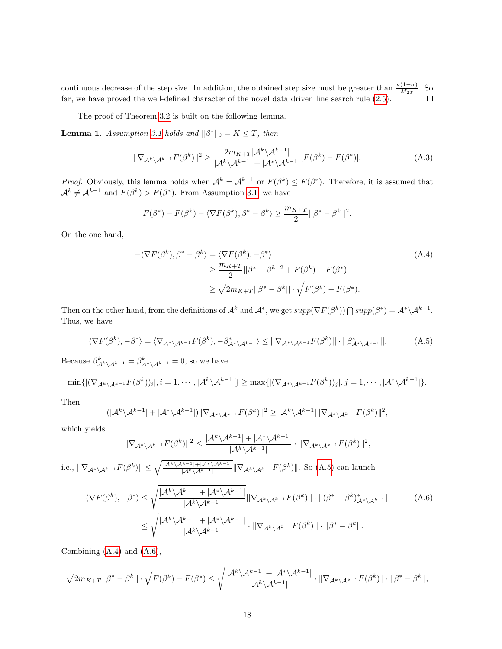continuous decrease of the step size. In addition, the obtained step size must be greater than  $\frac{\nu(1-\sigma)}{M_{2T}}$ . So far, we have proved the well-defined character of the novel data driven line search rule [\(2.5\)](#page-4-0).  $\Box$ 

The proof of Theorem [3.2](#page-6-2) is built on the following lemma.

<span id="page-17-3"></span>**Lemma 1.** Assumption [3.1](#page-5-1) holds and  $\|\beta^*\|_0 = K \leq T$ , then

$$
\|\nabla_{\mathcal{A}^k \setminus \mathcal{A}^{k-1}} F(\beta^k)\|^2 \ge \frac{2m_{K+T}|\mathcal{A}^k \setminus \mathcal{A}^{k-1}|}{|\mathcal{A}^k \setminus \mathcal{A}^{k-1}| + |\mathcal{A}^* \setminus \mathcal{A}^{k-1}|} [F(\beta^k) - F(\beta^*)].\tag{A.3}
$$

*Proof.* Obviously, this lemma holds when  $\mathcal{A}^k = \mathcal{A}^{k-1}$  or  $F(\beta^k) \leq F(\beta^*)$ . Therefore, it is assumed that  $A^{k} \neq A^{k-1}$  and  $F(\beta^{k}) > F(\beta^{*})$ . From Assumption [3.1,](#page-5-1) we have

<span id="page-17-1"></span>
$$
F(\beta^*) - F(\beta^k) - \langle \nabla F(\beta^k), \beta^* - \beta^k \rangle \ge \frac{m_{K+T}}{2} ||\beta^* - \beta^k||^2.
$$

On the one hand,

<span id="page-17-0"></span>
$$
-\langle \nabla F(\beta^k), \beta^* - \beta^k \rangle = \langle \nabla F(\beta^k), -\beta^* \rangle
$$
  
\n
$$
\geq \frac{m_{K+T}}{2} ||\beta^* - \beta^k||^2 + F(\beta^k) - F(\beta^*)
$$
  
\n
$$
\geq \sqrt{2m_{K+T}} ||\beta^* - \beta^k|| \cdot \sqrt{F(\beta^k) - F(\beta^*)}.
$$
\n(A.4)

Then on the other hand, from the definitions of  $\mathcal{A}^k$  and  $\mathcal{A}^*$ , we get  $supp(\nabla F(\beta^k)) \bigcap supp(\beta^*) = \mathcal{A}^* \backslash \mathcal{A}^{k-1}$ . Thus, we have

$$
\langle \nabla F(\beta^k), -\beta^* \rangle = \langle \nabla_{\mathcal{A}^* \setminus \mathcal{A}^{k-1}} F(\beta^k), -\beta^*_{\mathcal{A}^* \setminus \mathcal{A}^{k-1}} \rangle \le ||\nabla_{\mathcal{A}^* \setminus \mathcal{A}^{k-1}} F(\beta^k)|| \cdot ||\beta^*_{\mathcal{A}^* \setminus \mathcal{A}^{k-1}}||. \tag{A.5}
$$

Because  $\beta_{\mathcal{A}^k \setminus \mathcal{A}^{k-1}}^k = \beta_{\mathcal{A}^* \setminus \mathcal{A}^{k-1}}^k = 0$ , so we have

$$
\min\{|\left(\nabla_{\mathcal{A}^k\setminus\mathcal{A}^{k-1}}F(\beta^k)\right)_i|, i=1,\cdots,|\mathcal{A}^k\setminus\mathcal{A}^{k-1}|\}\geq \max\{|\left(\nabla_{\mathcal{A}^*\setminus\mathcal{A}^{k-1}}F(\beta^k)\right)_j|, j=1,\cdots,|\mathcal{A}^*\setminus\mathcal{A}^{k-1}|\}.
$$

Then

$$
(|\mathcal{A}^k \backslash \mathcal{A}^{k-1}| + |\mathcal{A}^* \backslash \mathcal{A}^{k-1}|) \|\nabla_{\mathcal{A}^k \backslash \mathcal{A}^{k-1}} F(\beta^k)\|^2 \geq |\mathcal{A}^k \backslash \mathcal{A}^{k-1}| \|\nabla_{\mathcal{A}^* \backslash \mathcal{A}^{k-1}} F(\beta^k)\|^2,
$$

which yields

<span id="page-17-2"></span>
$$
||\nabla_{\mathcal{A}^*\backslash \mathcal{A}^{k-1}} F(\beta^k)||^2 \leq \frac{|\mathcal{A}^k \backslash \mathcal{A}^{k-1}| + |\mathcal{A}^* \backslash \mathcal{A}^{k-1}|}{|\mathcal{A}^k \backslash \mathcal{A}^{k-1}|} \cdot ||\nabla_{\mathcal{A}^k \backslash \mathcal{A}^{k-1}} F(\beta^k)||^2,
$$

i.e.,  $\|\nabla_{\mathcal{A}^*\setminus\mathcal{A}^{k-1}}F(\beta^k)\| \leq \sqrt{\frac{|\mathcal{A}^k\setminus\mathcal{A}^{k-1}|+|\mathcal{A}^*\setminus\mathcal{A}^{k-1}|}{|\mathcal{A}^k\setminus\mathcal{A}^{k-1}|}}\|\nabla_{\mathcal{A}^k\setminus\mathcal{A}^{k-1}}F(\beta^k)\|$ . So [\(A.5\)](#page-17-0) can launch

$$
\langle \nabla F(\beta^k), -\beta^* \rangle \le \sqrt{\frac{|\mathcal{A}^k \setminus \mathcal{A}^{k-1}| + |\mathcal{A}^* \setminus \mathcal{A}^{k-1}|}{|\mathcal{A}^k \setminus \mathcal{A}^{k-1}|}} ||\nabla_{\mathcal{A}^k \setminus \mathcal{A}^{k-1}} F(\beta^k)|| \cdot ||(\beta^* - \beta^k)_{\mathcal{A}^* \setminus \mathcal{A}^{k-1}}^{*}|| \tag{A.6}
$$
\n
$$
\le \sqrt{\frac{|\mathcal{A}^k \setminus \mathcal{A}^{k-1}| + |\mathcal{A}^* \setminus \mathcal{A}^{k-1}|}{|\mathcal{A}^k \setminus \mathcal{A}^{k-1}|}} \cdot ||\nabla_{\mathcal{A}^k \setminus \mathcal{A}^{k-1}} F(\beta^k)|| \cdot ||\beta^* - \beta^k||.
$$

Combining  $(A.4)$  and  $(A.6)$ ,

$$
\sqrt{2m_{K+T}}||\beta^* - \beta^k|| \cdot \sqrt{F(\beta^k) - F(\beta^*)} \le \sqrt{\frac{|\mathcal{A}^k \backslash \mathcal{A}^{k-1}| + |\mathcal{A}^* \backslash \mathcal{A}^{k-1}|}{|\mathcal{A}^k \backslash \mathcal{A}^{k-1}|}} \cdot ||\nabla_{\mathcal{A}^k \backslash \mathcal{A}^{k-1}} F(\beta^k)|| \cdot ||\beta^* - \beta^k||,
$$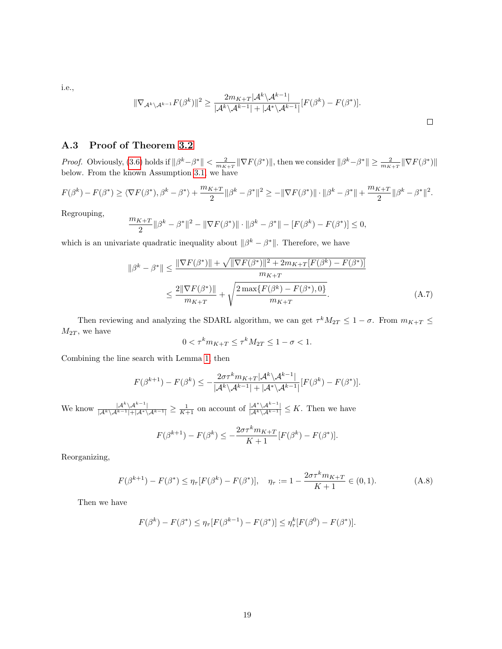i.e.,

$$
\|\nabla_{\mathcal{A}^k \setminus \mathcal{A}^{k-1}} F(\beta^k)\|^2 \ge \frac{2m_{K+T}|\mathcal{A}^k \setminus \mathcal{A}^{k-1}|}{|\mathcal{A}^k \setminus \mathcal{A}^{k-1}| + |\mathcal{A}^* \setminus \mathcal{A}^{k-1}|} [F(\beta^k) - F(\beta^*)].
$$

# <span id="page-18-0"></span>A.3 Proof of Theorem [3.2](#page-6-2)

*Proof.* Obviously, [\(3.6\)](#page-6-1) holds if  $\|\beta^k - \beta^*\| < \frac{2}{m_{K+T}} \|\nabla F(\beta^*)\|$ , then we consider  $\|\beta^k - \beta^*\| \ge \frac{2}{m_{K+T}} \|\nabla F(\beta^*)\|$ below. From the known Assumption [3.1,](#page-5-1) we have

$$
F(\beta^k) - F(\beta^*) \ge \langle \nabla F(\beta^*), \beta^k - \beta^* \rangle + \frac{m_{K+T}}{2} \|\beta^k - \beta^*\|^2 \ge -\|\nabla F(\beta^*)\| \cdot \|\beta^k - \beta^*\| + \frac{m_{K+T}}{2} \|\beta^k - \beta^*\|^2.
$$

Regrouping,

$$
\frac{m_{K+T}}{2} \|\beta^{k} - \beta^{*}\|^{2} - \|\nabla F(\beta^{*})\| \cdot \|\beta^{k} - \beta^{*}\| - [F(\beta^{k}) - F(\beta^{*})] \le 0,
$$

which is an univariate quadratic inequality about  $\|\beta^k - \beta^*\|$ . Therefore, we have

$$
\|\beta^{k} - \beta^{*}\| \le \frac{\|\nabla F(\beta^{*})\| + \sqrt{\|\nabla F(\beta^{*})\|^{2} + 2m_{K+T}[F(\beta^{k}) - F(\beta^{*})]}}{m_{K+T}}
$$
  

$$
\le \frac{2\|\nabla F(\beta^{*})\|}{m_{K+T}} + \sqrt{\frac{2\max\{F(\beta^{k}) - F(\beta^{*}), 0\}}{m_{K+T}}}.
$$
 (A.7)

Then reviewing and analyzing the SDARL algorithm, we can get  $\tau^k M_{2T} \leq 1 - \sigma$ . From  $m_{K+T} \leq$  $M_{2T}$ , we have

<span id="page-18-2"></span>
$$
0 < \tau^k m_{K+T} \le \tau^k M_{2T} \le 1 - \sigma < 1.
$$

Combining the line search with Lemma [1,](#page-17-3) then

$$
F(\beta^{k+1}) - F(\beta^k) \le -\frac{2\sigma \tau^k m_{K+T} |\mathcal{A}^k \setminus \mathcal{A}^{k-1}|}{|\mathcal{A}^k \setminus \mathcal{A}^{k-1}| + |\mathcal{A}^* \setminus \mathcal{A}^{k-1}|} [F(\beta^k) - F(\beta^*)].
$$

We know  $\frac{|A^k \setminus A^{k-1}|}{|A^k \setminus A^{k-1}| + |A^* \setminus A^{k-1}|} \ge \frac{1}{K+1}$  on account of  $\frac{|A^k \setminus A^{k-1}|}{|A^k \setminus A^{k-1}|} \le K$ . Then we have

<span id="page-18-1"></span>
$$
F(\beta^{k+1}) - F(\beta^{k}) \le -\frac{2\sigma \tau^{k} m_{K+T}}{K+1} [F(\beta^{k}) - F(\beta^{*})].
$$

Reorganizing,

$$
F(\beta^{k+1}) - F(\beta^*) \le \eta_\tau [F(\beta^k) - F(\beta^*)], \quad \eta_\tau := 1 - \frac{2\sigma \tau^k m_{K+T}}{K+1} \in (0,1).
$$
 (A.8)

Then we have

$$
F(\beta^k) - F(\beta^*) \le \eta_\tau [F(\beta^{k-1}) - F(\beta^*)] \le \eta_\tau^k [F(\beta^0) - F(\beta^*)].
$$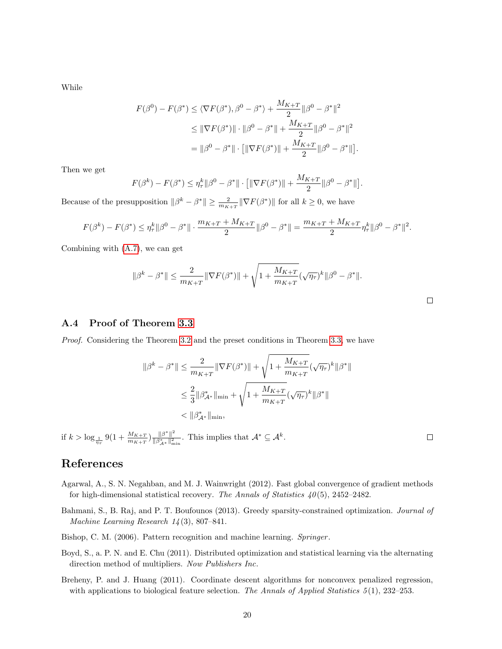While

$$
F(\beta^0) - F(\beta^*) \le \langle \nabla F(\beta^*), \beta^0 - \beta^* \rangle + \frac{M_{K+T}}{2} ||\beta^0 - \beta^*||^2
$$
  
\n
$$
\le ||\nabla F(\beta^*)|| \cdot ||\beta^0 - \beta^*|| + \frac{M_{K+T}}{2} ||\beta^0 - \beta^*||^2
$$
  
\n
$$
= ||\beta^0 - \beta^*|| \cdot [||\nabla F(\beta^*)|| + \frac{M_{K+T}}{2} ||\beta^0 - \beta^*||].
$$

Then we get

$$
F(\beta^k) - F(\beta^*) \leq \eta_{\tau}^k ||\beta^0 - \beta^*|| \cdot [||\nabla F(\beta^*)|| + \frac{M_{K+T}}{2} ||\beta^0 - \beta^*||].
$$

Because of the presupposition  $\|\beta^k - \beta^*\| \ge \frac{2}{m_{K+T}} \|\nabla F(\beta^*)\|$  for all  $k \ge 0$ , we have

$$
F(\beta^k) - F(\beta^*) \leq \eta_{\tau}^k \|\beta^0 - \beta^*\| \cdot \frac{m_{K+T} + M_{K+T}}{2} \|\beta^0 - \beta^*\| = \frac{m_{K+T} + M_{K+T}}{2} \eta_{\tau}^k \|\beta^0 - \beta^*\|^2.
$$

Combining with [\(A.7\)](#page-18-2), we can get

$$
\|\beta^k-\beta^*\|\leq \frac{2}{m_{K+T}}\|\nabla F(\beta^*)\|+\sqrt{1+\frac{M_{K+T}}{m_{K+T}}}(\sqrt{\eta_{\tau}})^k\|\beta^0-\beta^*\|.
$$

 $\Box$ 

### <span id="page-19-5"></span>A.4 Proof of Theorem [3.3](#page-6-3)

Proof. Considering the Theorem [3.2](#page-6-2) and the preset conditions in Theorem [3.3,](#page-6-3) we have

$$
\begin{aligned} \|\beta^k - \beta^*\| &\leq \frac{2}{m_{K+T}}\|\nabla F(\beta^*)\| + \sqrt{1 + \frac{M_{K+T}}{m_{K+T}}}(\sqrt{\eta_{\tau}})^k\|\beta^*\|\\ &\leq \frac{2}{3}\|\beta^*_{\mathcal{A}^*}\|_{\min} + \sqrt{1 + \frac{M_{K+T}}{m_{K+T}}}(\sqrt{\eta_{\tau}})^k\|\beta^*\|\\ &< \|\beta^*_{\mathcal{A}^*}\|_{\min}, \end{aligned}
$$

if  $k > \log_{\frac{1}{\eta_{\tau}}} 9(1 + \frac{M_{K+T}}{m_{K+T}}) \frac{\|\beta^*\|^2}{\|\beta^*_{\mathcal{A}^*}\|_{\mathfrak{m}}^2}$  $\frac{\|\beta^*\|^2}{\|\beta^*_{\mathcal{A}^*}\|_{\min}^2}$ . This implies that  $\mathcal{A}^* \subseteq \mathcal{A}^k$ .

# References

- <span id="page-19-2"></span>Agarwal, A., S. N. Negahban, and M. J. Wainwright (2012). Fast global convergence of gradient methods for high-dimensional statistical recovery. The Annals of Statistics  $40(5)$ , 2452–2482.
- <span id="page-19-4"></span>Bahmani, S., B. Raj, and P. T. Boufounos (2013). Greedy sparsity-constrained optimization. Journal of Machine Learning Research  $14(3)$ , 807–841.
- <span id="page-19-0"></span>Bishop, C. M. (2006). Pattern recognition and machine learning. Springer.
- <span id="page-19-3"></span>Boyd, S., a. P. N. and E. Chu (2011). Distributed optimization and statistical learning via the alternating direction method of multipliers. Now Publishers Inc.
- <span id="page-19-1"></span>Breheny, P. and J. Huang (2011). Coordinate descent algorithms for nonconvex penalized regression, with applications to biological feature selection. The Annals of Applied Statistics  $5(1)$ , 232–253.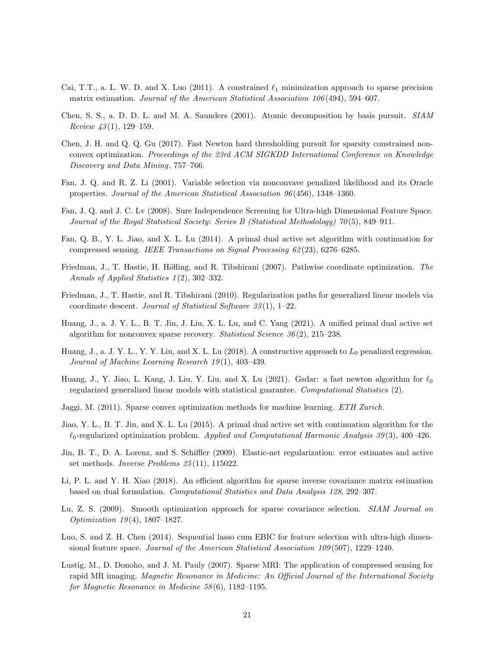- <span id="page-20-1"></span>Cai, T.T., a. L. W. D. and X. Luo (2011). A constrained  $\ell_1$  minimization approach to sparse precision matrix estimation. Journal of the American Statistical Association  $106(494)$ , 594–607.
- <span id="page-20-9"></span>Chen, S. S., a. D. D. L. and M. A. Saunders (2001). Atomic decomposition by basis pursuit. SIAM Review  $43(1)$ , 129-159.
- <span id="page-20-15"></span>Chen, J. H. and Q. Q. Gu (2017). Fast Newton hard thresholding pursuit for sparsity constrained nonconvex optimization. Proceedings of the 23rd ACM SIGKDD International Conference on Knowledge Discovery and Data Mining, 757–766.
- <span id="page-20-12"></span>Fan, J. Q. and R. Z. Li (2001). Variable selection via nonconvave penalized likelihood and its Oracle properties. Journal of the American Statistical Association 96 (456), 1348–1360.
- <span id="page-20-16"></span>Fan, J. Q. and J. C. Lv (2008). Sure Independence Screening for Ultra-high Dimensional Feature Space. Journal of the Royal Statistical Society: Series B (Statistical Methodology) 70 (5), 849–911.
- <span id="page-20-3"></span>Fan, Q. B., Y. L. Jiao, and X. L. Lu (2014). A primal dual active set algorithm with continuation for compressed sensing. IEEE Transactions on Signal Processing 62 (23), 6276–6285.
- <span id="page-20-13"></span>Friedman, J., T. Hastie, H. Höfling, and R. Tibshirani (2007). Pathwise coordinate optimization. The Annals of Applied Statistics 1 (2), 302–332.
- <span id="page-20-10"></span>Friedman, J., T. Hastie, and R. Tibshirani (2010). Regularization paths for generalized linear models via coordinate descent. Journal of Statistical Software 33 (1), 1–22.
- <span id="page-20-14"></span>Huang, J., a. J. Y. L., B. T. Jin, J. Liu, X. L. Lu, and C. Yang (2021). A unified primal dual active set algorithm for nonconvex sparse recovery. Statistical Science  $36(2)$ , 215–238.
- <span id="page-20-7"></span>Huang, J., a. J. Y. L., Y. Y. Liu, and X. L. Lu (2018). A constructive approach to  $L_0$  penalized regression. Journal of Machine Learning Research 19 (1), 403–439.
- <span id="page-20-0"></span>Huang, J., Y. Jiao, L. Kang, J. Liu, Y. Liu, and X. Lu (2021). Gsdar: a fast newton algorithm for  $\ell_0$ regularized generalized linear models with statistical guarantee. Computational Statistics (2).
- <span id="page-20-6"></span>Jaggi, M. (2011). Sparse convex optimization methods for machine learning. ETH Zurich.
- <span id="page-20-8"></span>Jiao, Y. L., B. T. Jin, and X. L. Lu (2015). A primal dual active set with continuation algorithm for the  $\ell_0$ -regularized optimization problem. Applied and Computational Harmonic Analysis 39(3), 400–426.
- <span id="page-20-11"></span>Jin, B. T., D. A. Lorenz, and S. Schiffler (2009). Elastic-net regularization: error estimates and active set methods. Inverse Problems 25 (11), 115022.
- <span id="page-20-2"></span>Li, P. L. and Y. H. Xiao (2018). An efficient algorithm for sparse inverse covariance matrix estimation based on dual formulation. Computational Statistics and Data Analysis 128, 292–307.
- <span id="page-20-5"></span>Lu, Z. S. (2009). Smooth optimization approach for sparse covariance selection. SIAM Journal on Optimization 19 (4), 1807–1827.
- <span id="page-20-17"></span>Luo, S. and Z. H. Chen (2014). Sequential lasso cum EBIC for feature selection with ultra-high dimensional feature space. Journal of the American Statistical Association 109 (507), 1229–1240.
- <span id="page-20-4"></span>Lustig, M., D. Donoho, and J. M. Pauly (2007). Sparse MRI: The application of compressed sensing for rapid MR imaging. Magnetic Resonance in Medicine: An Official Journal of the International Society for Magnetic Resonance in Medicine 58 (6), 1182–1195.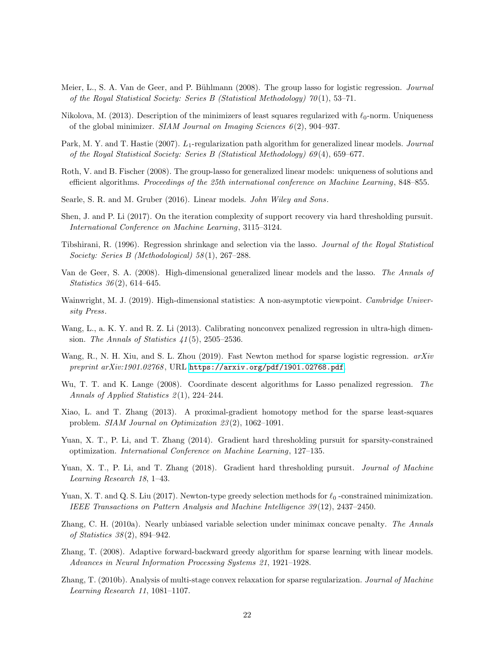- <span id="page-21-1"></span>Meier, L., S. A. Van de Geer, and P. Bühlmann (2008). The group lasso for logistic regression. *Journal* of the Royal Statistical Society: Series B (Statistical Methodology) 70 (1), 53–71.
- <span id="page-21-16"></span>Nikolova, M. (2013). Description of the minimizers of least squares regularized with  $\ell_0$ -norm. Uniqueness of the global minimizer. SIAM Journal on Imaging Sciences  $6(2)$ , 904-937.
- <span id="page-21-3"></span>Park, M. Y. and T. Hastie (2007).  $L_1$ -regularization path algorithm for generalized linear models. Journal of the Royal Statistical Society: Series B (Statistical Methodology) 69 (4), 659–677.
- <span id="page-21-6"></span>Roth, V. and B. Fischer (2008). The group-lasso for generalized linear models: uniqueness of solutions and efficient algorithms. Proceedings of the 25th international conference on Machine Learning, 848–855.
- <span id="page-21-0"></span>Searle, S. R. and M. Gruber (2016). Linear models. John Wiley and Sons.
- <span id="page-21-12"></span>Shen, J. and P. Li (2017). On the iteration complexity of support recovery via hard thresholding pursuit. International Conference on Machine Learning, 3115–3124.
- <span id="page-21-4"></span>Tibshirani, R. (1996). Regression shrinkage and selection via the lasso. Journal of the Royal Statistical Society: Series B (Methodological) 58 (1), 267–288.
- <span id="page-21-5"></span>Van de Geer, S. A. (2008). High-dimensional generalized linear models and the lasso. The Annals of Statistics 36 (2), 614–645.
- <span id="page-21-18"></span>Wainwright, M. J. (2019). High-dimensional statistics: A non-asymptotic viewpoint. Cambridge University Press.
- <span id="page-21-17"></span>Wang, L., a. K. Y. and R. Z. Li (2013). Calibrating nonconvex penalized regression in ultra-high dimension. The Annals of Statistics  $41(5)$ , 2505–2536.
- <span id="page-21-15"></span>Wang, R., N. H. Xiu, and S. L. Zhou (2019). Fast Newton method for sparse logistic regression.  $arXiv$ preprint arXiv:1901.02768 , URL <https://arxiv.org/pdf/1901.02768.pdf>.
- <span id="page-21-9"></span>Wu, T. T. and K. Lange (2008). Coordinate descent algorithms for Lasso penalized regression. The Annals of Applied Statistics  $2(1)$ , 224–244.
- <span id="page-21-10"></span>Xiao, L. and T. Zhang (2013). A proximal-gradient homotopy method for the sparse least-squares problem. SIAM Journal on Optimization 23(2), 1062-1091.
- <span id="page-21-13"></span>Yuan, X. T., P. Li, and T. Zhang (2014). Gradient hard thresholding pursuit for sparsity-constrained optimization. International Conference on Machine Learning, 127–135.
- <span id="page-21-2"></span>Yuan, X. T., P. Li, and T. Zhang (2018). Gradient hard thresholding pursuit. Journal of Machine Learning Research 18, 1–43.
- <span id="page-21-14"></span>Yuan, X. T. and Q. S. Liu (2017). Newton-type greedy selection methods for  $\ell_0$  -constrained minimization. IEEE Transactions on Pattern Analysis and Machine Intelligence 39 (12), 2437–2450.
- <span id="page-21-7"></span>Zhang, C. H. (2010a). Nearly unbiased variable selection under minimax concave penalty. The Annals of Statistics 38 (2), 894–942.
- <span id="page-21-11"></span>Zhang, T. (2008). Adaptive forward-backward greedy algorithm for sparse learning with linear models. Advances in Neural Information Processing Systems 21, 1921–1928.
- <span id="page-21-8"></span>Zhang, T. (2010b). Analysis of multi-stage convex relaxation for sparse regularization. *Journal of Machine* Learning Research 11, 1081–1107.